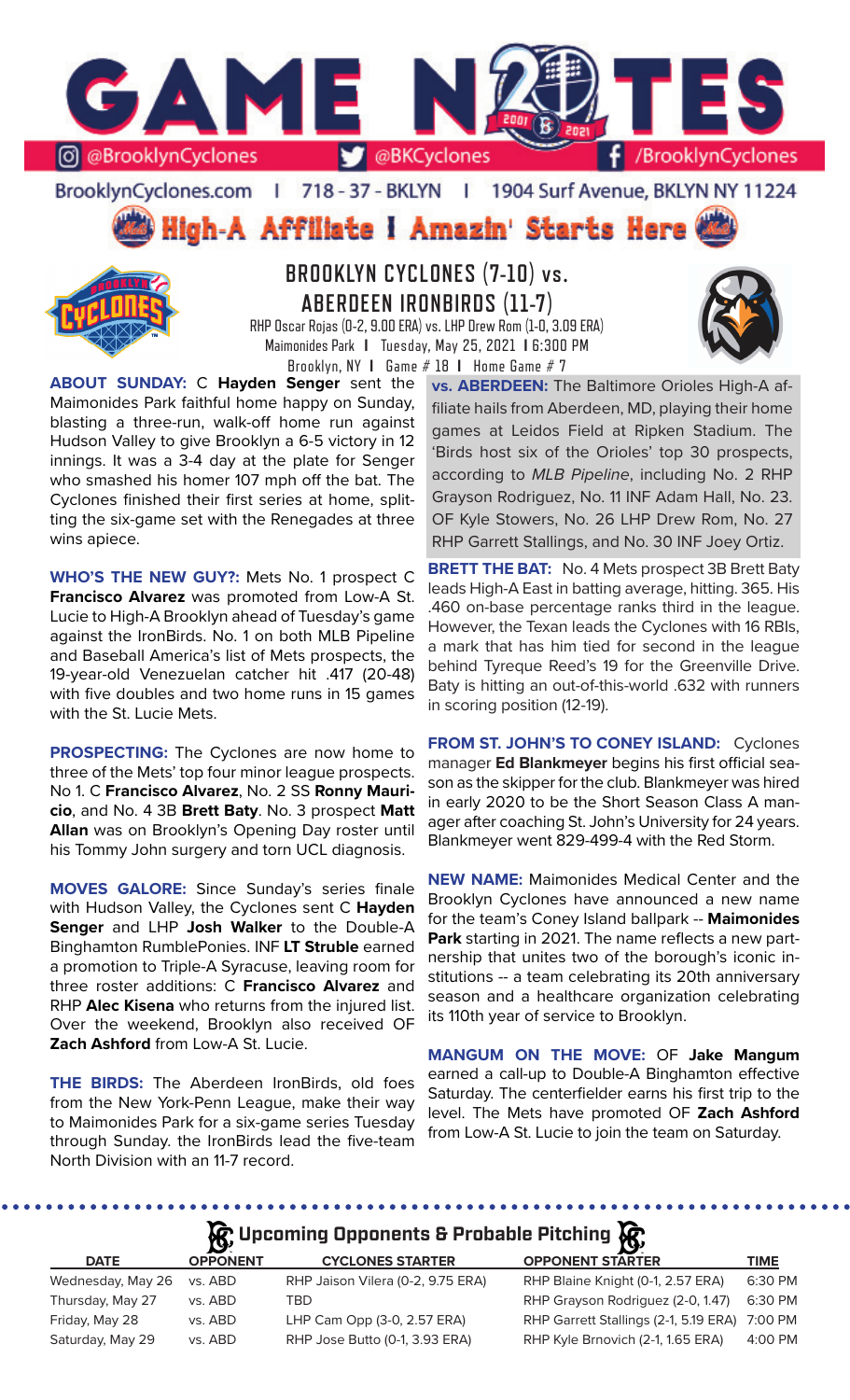

# BrooklynCyclones.com | 718 - 37 - BKLYN | 1904 Surf Avenue, BKLYN NY 11224

High-A Affiliate I Amazin' Starts Here



**BROOKLYN CYCLONES (7-10) vs. ABERDEEN IRONBIRDS (11-7)**

RHP Oscar Rojas (0-2, 9.00 ERA) vs. LHP Drew Rom (1-0, 3.09 ERA) Maimonides Park **I** Tuesday, May 25, 2021 **I** 6:300 PM Brooklyn, NY **I** Game # 18 **I** Home Game # 7

**ABOUT SUNDAY:** C **Hayden Senger** sent the Maimonides Park faithful home happy on Sunday, blasting a three-run, walk-off home run against Hudson Valley to give Brooklyn a 6-5 victory in 12 innings. It was a 3-4 day at the plate for Senger who smashed his homer 107 mph off the bat. The Cyclones finished their first series at home, splitting the six-game set with the Renegades at three wins apiece.

**WHO'S THE NEW GUY?:** Mets No. 1 prospect C **Francisco Alvarez** was promoted from Low-A St. Lucie to High-A Brooklyn ahead of Tuesday's game against the IronBirds. No. 1 on both MLB Pipeline and Baseball America's list of Mets prospects, the 19-year-old Venezuelan catcher hit .417 (20-48) with five doubles and two home runs in 15 games with the St. Lucie Mets.

**PROSPECTING:** The Cyclones are now home to three of the Mets' top four minor league prospects. No 1. C **Francisco Alvarez**, No. 2 SS **Ronny Mauricio**, and No. 4 3B **Brett Baty**. No. 3 prospect **Matt Allan** was on Brooklyn's Opening Day roster until his Tommy John surgery and torn UCL diagnosis.

**MOVES GALORE:** Since Sunday's series finale with Hudson Valley, the Cyclones sent C **Hayden Senger** and LHP **Josh Walker** to the Double-A Binghamton RumblePonies. INF **LT Struble** earned a promotion to Triple-A Syracuse, leaving room for three roster additions: C **Francisco Alvarez** and RHP **Alec Kisena** who returns from the injured list. Over the weekend, Brooklyn also received OF **Zach Ashford** from Low-A St. Lucie.

**THE BIRDS:** The Aberdeen IronBirds, old foes from the New York-Penn League, make their way to Maimonides Park for a six-game series Tuesday through Sunday. the IronBirds lead the five-team North Division with an 11-7 record.

**vs. ABERDEEN:** The Baltimore Orioles High-A affiliate hails from Aberdeen, MD, playing their home games at Leidos Field at Ripken Stadium. The 'Birds host six of the Orioles' top 30 prospects, according to *MLB Pipeline*, including No. 2 RHP Grayson Rodriguez, No. 11 INF Adam Hall, No. 23. OF Kyle Stowers, No. 26 LHP Drew Rom, No. 27 RHP Garrett Stallings, and No. 30 INF Joey Ortiz.

**BRETT THE BAT:** No. 4 Mets prospect 3B Brett Baty leads High-A East in batting average, hitting. 365. His .460 on-base percentage ranks third in the league. However, the Texan leads the Cyclones with 16 RBIs, a mark that has him tied for second in the league behind Tyreque Reed's 19 for the Greenville Drive. Baty is hitting an out-of-this-world .632 with runners in scoring position (12-19).

**FROM ST. JOHN'S TO CONEY ISLAND:** Cyclones manager **Ed Blankmeyer** begins his first official season as the skipper for the club. Blankmeyer was hired in early 2020 to be the Short Season Class A manager after coaching St. John's University for 24 years. Blankmeyer went 829-499-4 with the Red Storm.

**NEW NAME:** Maimonides Medical Center and the Brooklyn Cyclones have announced a new name for the team's Coney Island ballpark -- **Maimonides Park** starting in 2021. The name reflects a new partnership that unites two of the borough's iconic institutions -- a team celebrating its 20th anniversary season and a healthcare organization celebrating its 110th year of service to Brooklyn.

**MANGUM ON THE MOVE:** OF **Jake Mangum** earned a call-up to Double-A Binghamton effective Saturday. The centerfielder earns his first trip to the level. The Mets have promoted OF **Zach Ashford** from Low-A St. Lucie to join the team on Saturday.

# **A**: Upcoming Opponents & Probable Pitching  $\mathbf{R}$

|                   | $\mathbf{v}$    |                                   | $\boldsymbol{\omega}$                         |             |
|-------------------|-----------------|-----------------------------------|-----------------------------------------------|-------------|
| <b>DATE</b>       | <b>OPPONENT</b> | <b>CYCLONES STARTER</b>           | <b>OPPONENT STARTER</b>                       | <b>TIME</b> |
| Wednesday, May 26 | vs. ABD         | RHP Jaison Vilera (0-2, 9.75 ERA) | RHP Blaine Knight (0-1, 2.57 ERA)             | 6:30 PM     |
| Thursday, May 27  | vs. ABD         | TRD.                              | RHP Grayson Rodriguez (2-0, 1.47)             | 6:30 PM     |
| Friday, May 28    | vs. ABD         | LHP Cam Opp (3-0, 2.57 ERA)       | RHP Garrett Stallings (2-1, 5.19 ERA) 7:00 PM |             |
| Saturday, May 29  | vs. ABD         | RHP Jose Butto (0-1, 3.93 ERA)    | RHP Kyle Brnovich (2-1, 1.65 ERA)             | 4:00 PM     |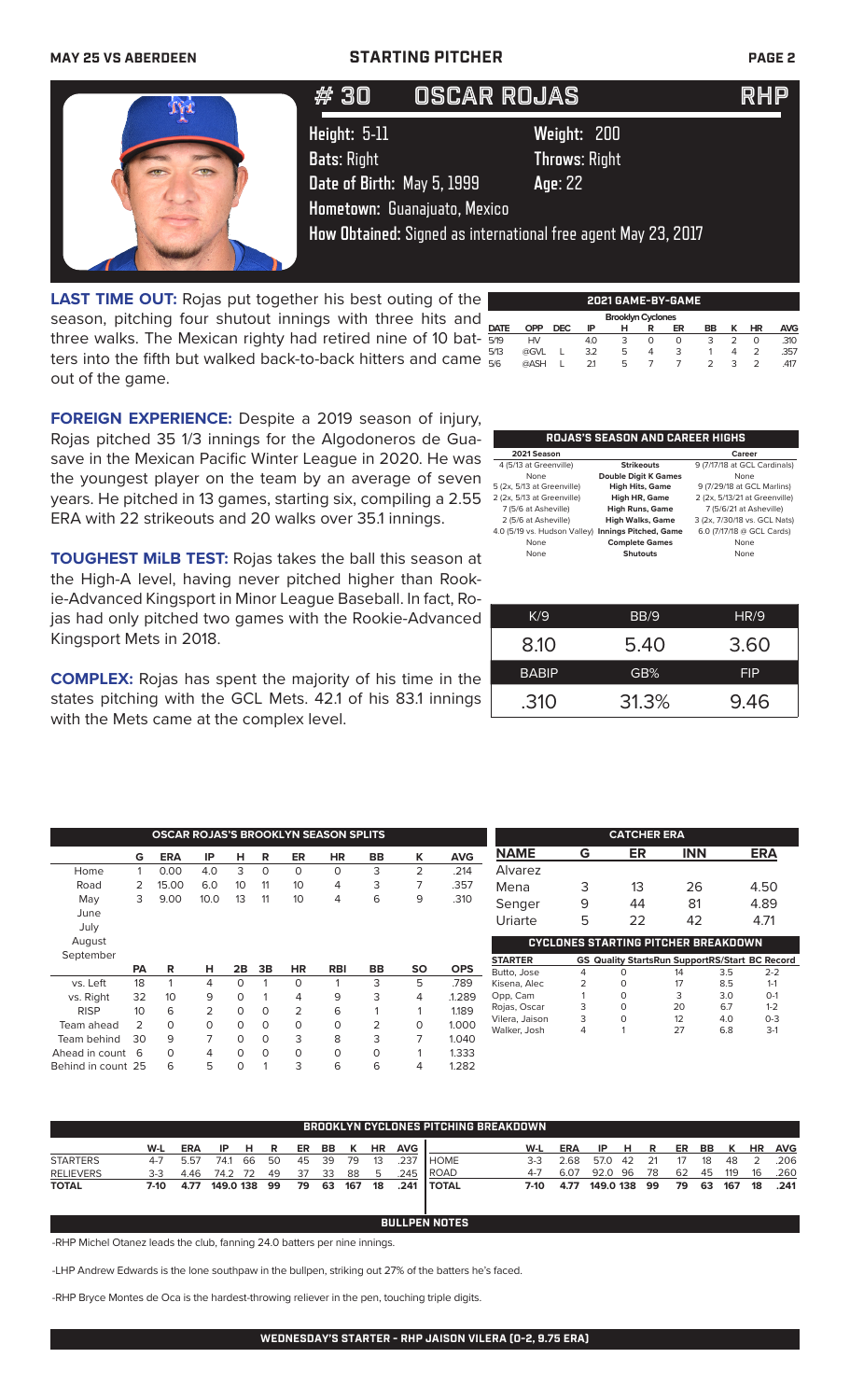## **MAY 25 VS ABERDEEN STARTING PITCHER PAGE 2**

| #30                                                              | <b>OSCAR ROJAS</b>           |                                                                                                                 | <b>IRHP</b> |
|------------------------------------------------------------------|------------------------------|-----------------------------------------------------------------------------------------------------------------|-------------|
| Height: 5-11<br><b>Bats: Right</b><br>Date of Birth: May 5, 1999 | Hometown: Guanajuato, Mexico | Weight: 200<br><b>Throws: Right</b><br>Age: 22<br>How Obtained: Signed as international free agent May 23, 2017 |             |

**LAST TIME OUT:** Rojas put together his best outing of the season, pitching four shutout innings with three hits and three walks. The Mexican righty had retired nine of 10 batters into the fifth but walked back-to-back hitters and came out of the game.

|                          | 2021 GAME-BY-GAME |            |     |   |   |    |    |   |    |            |  |  |  |
|--------------------------|-------------------|------------|-----|---|---|----|----|---|----|------------|--|--|--|
| <b>Brooklyn Cyclones</b> |                   |            |     |   |   |    |    |   |    |            |  |  |  |
| <b>DATE</b>              | OPP               | <b>DEC</b> | IP  | н | R | ER | BB | ĸ | ΗR | <b>AVG</b> |  |  |  |
| 5/19                     | HV                |            | 4.0 | 3 | Ο | 0  | 3  |   | O  | .310       |  |  |  |
| 5/13                     | @GVL              |            | 3.2 | 5 | 4 | 3  |    | 4 | 2  | .357       |  |  |  |
| 5/6                      | @ASH              |            | 21  | 5 |   |    | っ  | 3 |    | .417       |  |  |  |
|                          |                   |            |     |   |   |    |    |   |    |            |  |  |  |

**FOREIGN EXPERIENCE:** Despite a 2019 season of injury, Rojas pitched 35 1/3 innings for the Algodoneros de Guasave in the Mexican Pacific Winter League in 2020. He was the youngest player on the team by an average of seven years. He pitched in 13 games, starting six, compiling a 2.55 ERA with 22 strikeouts and 20 walks over 35.1 innings.

**TOUGHEST MiLB TEST:** Rojas takes the ball this season at the High-A level, having never pitched higher than Rookie-Advanced Kingsport in Minor League Baseball. In fact, Rojas had only pitched two games with the Rookie-Advanced Kingsport Mets in 2018.

**COMPLEX:** Rojas has spent the majority of his time in the states pitching with the GCL Mets. 42.1 of his 83.1 innings with the Mets came at the complex level.

| 2021 Season                  |                              | Career                        |
|------------------------------|------------------------------|-------------------------------|
| 4 (5/13 at Greenville)       | <b>Strikeouts</b>            | 9 (7/17/18 at GCL Cardinals)  |
| None                         | <b>Double Digit K Games</b>  | None                          |
| 5 (2x, 5/13 at Greenville)   | <b>High Hits, Game</b>       | 9 (7/29/18 at GCL Marlins)    |
| 2 (2x, 5/13 at Greenville)   | High HR, Game                | 2 (2x, 5/13/21 at Greenville) |
| 7 (5/6 at Asheville)         | <b>High Runs, Game</b>       | 7 (5/6/21 at Asheville)       |
| 2 (5/6 at Asheville)         | <b>High Walks, Game</b>      | 3 (2x, 7/30/18 vs. GCL Nats)  |
| 4.0 (5/19 vs. Hudson Valley) | <b>Innings Pitched, Game</b> | 6.0 (7/17/18 @ GCL Cards)     |
| None                         | <b>Complete Games</b>        | None                          |
| None                         | <b>Shutouts</b>              | None                          |

| K/9          | BB/9  | HR/9       |
|--------------|-------|------------|
| 8.10         | 5.40  | 3.60       |
| <b>BABIP</b> | GB%   | <b>FIP</b> |
| .310         | 31.3% | 9.46       |

|                    |                 |            |                |          |          |           | <b>OSCAR ROJAS'S BROOKLYN SEASON SPLITS</b> |           |           |            |                |   | <b>CATCHER ERA</b>                                    |            |     |            |
|--------------------|-----------------|------------|----------------|----------|----------|-----------|---------------------------------------------|-----------|-----------|------------|----------------|---|-------------------------------------------------------|------------|-----|------------|
|                    | G               | <b>ERA</b> | IP             | н        | R        | <b>ER</b> | <b>HR</b>                                   | <b>BB</b> | ĸ         | <b>AVG</b> | <b>NAME</b>    | G | ER                                                    | <b>INN</b> |     | <b>ERA</b> |
| Home               |                 | 0.00       | 4.0            | 3        | $\circ$  | 0         | 0                                           | 3         | 2         | .214       | Alvarez        |   |                                                       |            |     |            |
| Road               | 2               | 15.00      | 6.0            | 10       | 11       | 10        | 4                                           | 3         |           | .357       | Mena           | 3 | 13                                                    | 26         |     | 4.50       |
| May                | 3               | 9.00       | 10.0           | 13       | 11       | 10        | 4                                           | 6         | 9         | .310       | Senger         | 9 | 44                                                    | 81         |     | 4.89       |
| June<br>July       |                 |            |                |          |          |           |                                             |           |           |            | Uriarte        | 5 | 22                                                    | 42         |     | 4.71       |
| August             |                 |            |                |          |          |           |                                             |           |           |            |                |   | <b>CYCLONES STARTING PITCHER BREAKDOWN</b>            |            |     |            |
| September          |                 |            |                |          |          |           |                                             |           |           |            | <b>STARTER</b> |   | <b>GS Quality StartsRun SupportRS/Start BC Record</b> |            |     |            |
|                    | <b>PA</b>       | R          | н              | 2B       | 3B       | <b>HR</b> | <b>RBI</b>                                  | <b>BB</b> | <b>SO</b> | <b>OPS</b> | Butto, Jose    | 4 | O                                                     | 14         | 3.5 | $2 - 2$    |
| vs. Left           | 18              |            | 4              | 0        |          | 0         |                                             | 3         | 5         | .789       | Kisena, Alec   | 2 | $\Omega$                                              | 17         | 8.5 | $1 - 1$    |
| vs. Right          | 32              | 10         | 9              | 0        |          | 4         | 9                                           | 3         | 4         | 1.289      | Opp, Cam       |   | $\Omega$                                              | 3          | 3.0 | $O-1$      |
| <b>RISP</b>        | 10 <sup>°</sup> | 6          | $\overline{2}$ | 0        | $\Omega$ | 2         | 6                                           |           |           | 1.189      | Rojas, Oscar   | 3 | $\Omega$                                              | 20         | 6.7 | $1 - 2$    |
| Team ahead         | $\mathcal{P}$   | $\Omega$   | $\Omega$       | $\Omega$ | $\Omega$ | 0         | $\circ$                                     | 2         | $\Omega$  | 1.000      | Vilera, Jaison | 3 | $\circ$                                               | 12         | 4.0 | $0 - 3$    |
| Team behind        | 30              | 9          | 7              | $\Omega$ | $\Omega$ | 3         | 8                                           | 3         | 7         | 1.040      | Walker, Josh   | 4 |                                                       | 27         | 6.8 | $3-1$      |
| Ahead in count 6   |                 | 0          | 4              | 0        | $\Omega$ | 0         | $\Omega$                                    | $\circ$   |           | 1.333      |                |   |                                                       |            |     |            |
| Behind in count 25 |                 | 6          | 5              | O        |          | 3         | 6                                           | 6         | 4         | 1.282      |                |   |                                                       |            |     |            |

|                  | <b>BROOKLYN CYCLONES PITCHING BREAKDOWN</b> |            |           |      |    |    |     |     |           |            |                |         |            |           |    |     |    |    |     |           |            |
|------------------|---------------------------------------------|------------|-----------|------|----|----|-----|-----|-----------|------------|----------------|---------|------------|-----------|----|-----|----|----|-----|-----------|------------|
|                  | W-L                                         | <b>ERA</b> | IP        | н    | R  | ER | BB. | к   | <b>HR</b> | <b>AVG</b> |                | W-L     | <b>ERA</b> | IP        | н  | R   | ER | BB | к   | <b>HR</b> | <b>AVG</b> |
| <b>STARTERS</b>  | $4 - 7$                                     | 5.57       | 741       | 66   | 50 | 45 | 39  | 79  | 13        | 237        | <b>HOME</b>    | $3-3$   | 2.68       | 57.0      | 42 | 21  | 17 | 18 | 48  |           | .206       |
| <b>RELIEVERS</b> | $3-3$                                       | 4.46       | 74.2      | - 72 | 49 | 37 | 33  | 88  | b         | 245        | <b>ROAD</b>    | $4 - 7$ | 6.07       | 92.0      | 96 | -78 | 62 | 45 | 119 | 16        | .260       |
| <b>TOTAL</b>     | 7-10                                        | 4.77       | 149.0 138 |      | 99 | 79 | 63  | 167 | 18        | .241       | <b>I TOTAL</b> | 7-10    | 4.77       | 149.0 138 |    | 99  | 79 | 63 | 167 | 18        | .241       |
|                  |                                             |            |           |      |    |    |     |     |           |            |                |         |            |           |    |     |    |    |     |           |            |

**BULLPEN NOTES**

-RHP Michel Otanez leads the club, fanning 24.0 batters per nine innings.

-LHP Andrew Edwards is the lone southpaw in the bullpen, striking out 27% of the batters he's faced.

-RHP Bryce Montes de Oca is the hardest-throwing reliever in the pen, touching triple digits.

**WEDNESDAY'S STARTER - RHP JAISON VILERA (0-2, 9.75 ERA)**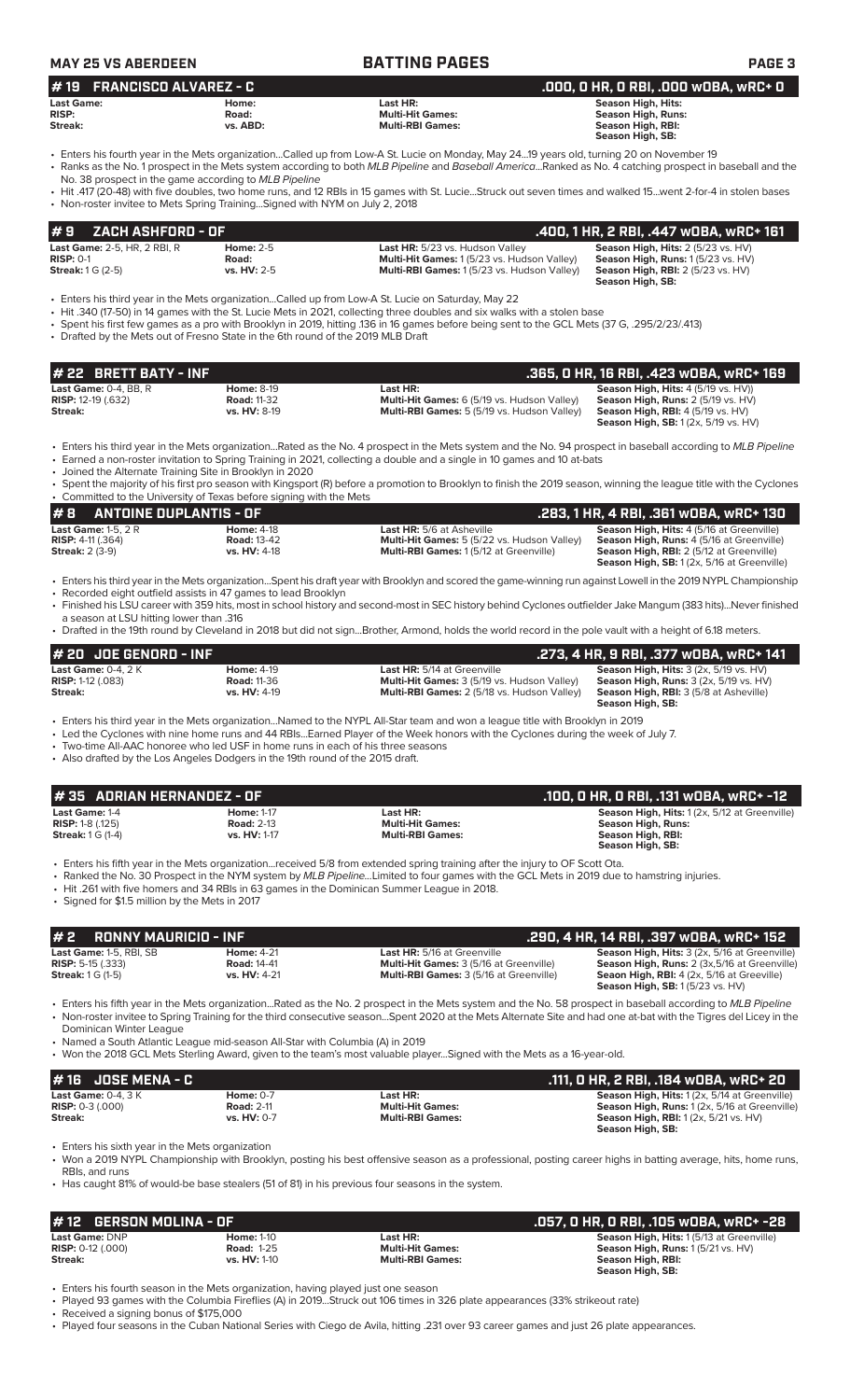| <b>MAY 25 VS ABERDEEN</b>                                                                                                                                          |                                                         | <b>BATTING PAGES</b>                                                                                                                                                                                                                                                                                                                                                                                                                                                                          | PAGE <sub>3</sub>                                                                                                                                                                 |
|--------------------------------------------------------------------------------------------------------------------------------------------------------------------|---------------------------------------------------------|-----------------------------------------------------------------------------------------------------------------------------------------------------------------------------------------------------------------------------------------------------------------------------------------------------------------------------------------------------------------------------------------------------------------------------------------------------------------------------------------------|-----------------------------------------------------------------------------------------------------------------------------------------------------------------------------------|
| <b>FRANCISCO ALVAREZ - C</b><br>#19                                                                                                                                |                                                         |                                                                                                                                                                                                                                                                                                                                                                                                                                                                                               | .000, 0 HR, 0 RBI, .000 WOBA, WRC+ 0                                                                                                                                              |
| <b>Last Game:</b><br><b>RISP:</b><br>Streak:                                                                                                                       | Home:<br>Road:<br>vs. ABD:                              | Last HR:<br><b>Multi-Hit Games:</b><br><b>Multi-RBI Games:</b>                                                                                                                                                                                                                                                                                                                                                                                                                                | <b>Season High, Hits:</b><br><b>Season High, Runs:</b><br>Season High, RBI:<br>Season High, SB:                                                                                   |
| No. 38 prospect in the game according to MLB Pipeline<br>• Non-roster invitee to Mets Spring TrainingSigned with NYM on July 2, 2018                               |                                                         | • Enters his fourth year in the Mets organizationCalled up from Low-A St. Lucie on Monday, May 2419 years old, turning 20 on November 19<br>• Ranks as the No. 1 prospect in the Mets system according to both MLB Pipeline and Baseball AmericaRanked as No. 4 catching prospect in baseball and the<br>• Hit .417 (20-48) with five doubles, two home runs, and 12 RBIs in 15 games with St. LucieStruck out seven times and walked 15went 2-for-4 in stolen bases                          |                                                                                                                                                                                   |
| #9<br><b>ZACH ASHFORD - OF</b>                                                                                                                                     |                                                         |                                                                                                                                                                                                                                                                                                                                                                                                                                                                                               | .400, 1 HR, 2 RBI, .447 WOBA, WRC+ 161                                                                                                                                            |
| Last Game: 2-5, HR, 2 RBI, R<br><b>RISP: 0-1</b><br><b>Streak:</b> 1 G (2-5)                                                                                       | <b>Home: 2-5</b><br>Road:<br>vs. HV: 2-5                | Last HR: 5/23 vs. Hudson Valley<br>Multi-Hit Games: 1 (5/23 vs. Hudson Valley)<br>Multi-RBI Games: 1 (5/23 vs. Hudson Valley)                                                                                                                                                                                                                                                                                                                                                                 | Season High, Hits: 2 (5/23 vs. HV)<br>Season High, Runs: 1 (5/23 vs. HV)<br><b>Season High, RBI:</b> 2 (5/23 vs. HV)<br>Season High, SB:                                          |
| • Drafted by the Mets out of Fresno State in the 6th round of the 2019 MLB Draft                                                                                   |                                                         | Enters his third year in the Mets organizationCalled up from Low-A St. Lucie on Saturday, May 22 •<br>Hit .340 (17-50) in 14 games with the St. Lucie Mets in 2021, collecting three doubles and six walks with a stolen base<br>• Spent his first few games as a pro with Brooklyn in 2019, hitting .136 in 16 games before being sent to the GCL Mets (37 G, .295/2/23/.413)                                                                                                                |                                                                                                                                                                                   |
| <b>BRETT BATY - INF</b><br>22                                                                                                                                      |                                                         |                                                                                                                                                                                                                                                                                                                                                                                                                                                                                               | .365, 0 HR, 16 RBI, .423 wOBA, wRC+ 169                                                                                                                                           |
| Last Game: 0-4, BB, R<br><b>RISP:</b> 12-19 (.632)<br>Streak:                                                                                                      | <b>Home: 8-19</b><br><b>Road: 11-32</b><br>vs. HV: 8-19 | Last HR:<br>Multi-Hit Games: 6 (5/19 vs. Hudson Valley)<br>Multi-RBI Games: 5 (5/19 vs. Hudson Valley)                                                                                                                                                                                                                                                                                                                                                                                        | Season High, Hits: 4 (5/19 vs. HV))<br>Season High, Runs: 2 (5/19 vs. HV)<br>Season High, RBI: 4 (5/19 vs. HV)<br><b>Season High, SB:</b> 1 (2x, 5/19 vs. HV)                     |
| • Joined the Alternate Training Site in Brooklyn in 2020                                                                                                           |                                                         | • Enters his third year in the Mets organizationRated as the No. 4 prospect in the Mets system and the No. 94 prospect in baseball according to MLB Pipeline<br>• Earned a non-roster invitation to Spring Training in 2021, collecting a double and a single in 10 games and 10 at-bats                                                                                                                                                                                                      |                                                                                                                                                                                   |
| • Committed to the University of Texas before signing with the Mets                                                                                                |                                                         | • Spent the majority of his first pro season with Kingsport (R) before a promotion to Brooklyn to finish the 2019 season, winning the league title with the Cyclones                                                                                                                                                                                                                                                                                                                          |                                                                                                                                                                                   |
| <b>ANTOINE DUPLANTIS - OF</b><br>#B                                                                                                                                |                                                         |                                                                                                                                                                                                                                                                                                                                                                                                                                                                                               | .283, 1 HR, 4 RBI, .361 wOBA, wRC+ 130                                                                                                                                            |
| Last Game: 1-5, $2R$<br><b>RISP: 4-11 (.364)</b><br><b>Streak: 2 (3-9)</b>                                                                                         | <b>Home: 4-18</b><br><b>Road: 13-42</b><br>vs. HV: 4-18 | <b>Last HR:</b> 5/6 at Asheville<br>Multi-Hit Games: 5 (5/22 vs. Hudson Valley)<br>Multi-RBI Games: 1(5/12 at Greenville)                                                                                                                                                                                                                                                                                                                                                                     | Season High, Hits: 4 (5/16 at Greenville)<br>Season High, Runs: 4 (5/16 at Greenville)<br>Season High, RBI: 2 (5/12 at Greenville)<br>Season High, SB: 1 (2x, 5/16 at Greenville) |
| • Recorded eight outfield assists in 47 games to lead Brooklyn<br>a season at LSU hitting lower than .316                                                          |                                                         | · Enters his third year in the Mets organizationSpent his draft year with Brooklyn and scored the game-winning run against Lowell in the 2019 NYPL Championship<br>• Finished his LSU career with 359 hits, most in school history and second-most in SEC history behind Cyclones outfielder Jake Mangum (383 hits)Never finished<br>• Drafted in the 19th round by Cleveland in 2018 but did not signBrother, Armond, holds the world record in the pole vault with a height of 6.18 meters. |                                                                                                                                                                                   |
| # 20 JOE GENORD - INF                                                                                                                                              |                                                         |                                                                                                                                                                                                                                                                                                                                                                                                                                                                                               | .273, 4 HR, 9 RBI, .377 wDBA, wRC+ 141                                                                                                                                            |
| Last Game: 0-4, 2 K<br><b>RISP:</b> 1-12 (.083)<br>Streak:                                                                                                         | Home: 4-19<br><b>Road: 11-36</b><br>vs. HV: 4-19        | Last HR: 5/14 at Greenville<br>Multi-Hit Games: 3 (5/19 vs. Hudson Valley)<br>Multi-RBI Games: 2 (5/18 vs. Hudson Valley)                                                                                                                                                                                                                                                                                                                                                                     | Season High, Hits: 3 (2x, 5/19 vs. HV)<br><b>Season High, Runs: 3 (2x, 5/19 vs. HV)</b><br>Season High, RBI: 3 (5/8 at Asheville)<br>Season High, SB:                             |
| • Two-time All-AAC honoree who led USF in home runs in each of his three seasons<br>• Also drafted by the Los Angeles Dodgers in the 19th round of the 2015 draft. |                                                         | • Enters his third year in the Mets organizationNamed to the NYPL All-Star team and won a league title with Brooklyn in 2019<br>• Led the Cyclones with nine home runs and 44 RBIsEarned Player of the Week honors with the Cyclones during the week of July 7.                                                                                                                                                                                                                               |                                                                                                                                                                                   |
| #35 ADRIAN HERNANDEZ - OF                                                                                                                                          |                                                         |                                                                                                                                                                                                                                                                                                                                                                                                                                                                                               | .100, 0 HR, 0 RBI, .131 w0BA, wRC+ -12                                                                                                                                            |
| Last Game: 1-4<br>RISP: 1-8 (.125)<br><b>Streak:</b> 1 G (1-4)                                                                                                     | <b>Home: 1-17</b><br><b>Road: 2-13</b><br>vs. HV: 1-17  | Last HR:<br><b>Multi-Hit Games:</b><br><b>Multi-RBI Games:</b>                                                                                                                                                                                                                                                                                                                                                                                                                                | Season High, Hits: 1 (2x, 5/12 at Greenville)<br><b>Season High, Runs:</b><br>Season High, RBI:<br>Season High, SB:                                                               |
| • Signed for \$1.5 million by the Mets in 2017                                                                                                                     |                                                         | • Enters his fifth year in the Mets organization…received 5/8 from extended spring training after the injury to OF Scott Ota.<br>• Ranked the No. 30 Prospect in the NYM system by MLB PipelineLimited to four games with the GCL Mets in 2019 due to hamstring injuries.<br>• Hit .261 with five homers and 34 RBIs in 63 games in the Dominican Summer League in 2018.                                                                                                                      |                                                                                                                                                                                   |
| <b>RONNY MAURICIO - INF</b><br>#2                                                                                                                                  |                                                         |                                                                                                                                                                                                                                                                                                                                                                                                                                                                                               | .290, 4 HR, 14 RBI, .397 wOBA, wRC+ 152                                                                                                                                           |
| Last Game: 1-5, RBI, SB<br><b>RISP:</b> 5-15 $(.333)$<br><b>Streak:</b> 1 G (1-5)                                                                                  | <b>Home: 4-21</b><br><b>Road: 14-41</b><br>vs. HV: 4-21 | Last HR: 5/16 at Greenville<br>Multi-Hit Games: 3 (5/16 at Greenville)<br>Multi-RBI Games: 3 (5/16 at Greenville)                                                                                                                                                                                                                                                                                                                                                                             | Season High, Hits: 3 (2x, 5/16 at Greenville)<br>Season High, Runs: 2 (3x, 5/16 at Greenville)<br>Seaon High, RBI: 4 (2x, 5/16 at Greeville)<br>Season High, SB: 1 (5/23 vs. HV)  |
| Dominican Winter League<br>• Named a South Atlantic League mid-season All-Star with Columbia (A) in 2019                                                           |                                                         | • Enters his fifth year in the Mets organizationRated as the No. 2 prospect in the Mets system and the No. 58 prospect in baseball according to MLB Pipeline<br>• Non-roster invitee to Spring Training for the third consecutive seasonSpent 2020 at the Mets Alternate Site and had one at-bat with the Tigres del Licey in the                                                                                                                                                             |                                                                                                                                                                                   |
|                                                                                                                                                                    |                                                         | • Won the 2018 GCL Mets Sterling Award, given to the team's most valuable playerSigned with the Mets as a 16-year-old.                                                                                                                                                                                                                                                                                                                                                                        |                                                                                                                                                                                   |
| <b>JOSE MENA - C</b><br>#16                                                                                                                                        |                                                         |                                                                                                                                                                                                                                                                                                                                                                                                                                                                                               | .111, O HR, 2 RBI, .184 WOBA, WRC+ 20                                                                                                                                             |
| Last Game: 0-4, 3 K<br><b>RISP:</b> $0-3$ (.000)<br>Streak:                                                                                                        | <b>Home: 0-7</b><br><b>Road: 2-11</b><br>vs. HV: 0-7    | Last HR:<br><b>Multi-Hit Games:</b><br><b>Multi-RBI Games:</b>                                                                                                                                                                                                                                                                                                                                                                                                                                | Season High, Hits: 1 (2x, 5/14 at Greenville)<br>Season High, Runs: 1 (2x, 5/16 at Greenville)<br><b>Season High, RBI:</b> 1 (2x, 5/21 vs. HV)<br>Season High, SB:                |

• Won a 2019 NYPL Championship with Brooklyn, posting his best offensive season as a professional, posting career highs in batting average, hits, home runs, RBIs, and runs

• Has caught 81% of would-be base stealers (51 of 81) in his previous four seasons in the system.

| #12 GERSON MOLINA - OF       |                     |                         | : .057, 0 HR, 0 RBI, .105 w0BA, wRC+ -28. .     |
|------------------------------|---------------------|-------------------------|-------------------------------------------------|
| <b>Last Game: DNP</b>        | <b>Home: 1-10</b>   | Last HR:                | <b>Season High, Hits: 1(5/13 at Greenville)</b> |
| <b>RISP:</b> $0-12$ $(.000)$ | <b>Road: 1-25</b>   | <b>Multi-Hit Games:</b> | <b>Season High, Runs: 1 (5/21 vs. HV)</b>       |
| Streak:                      | <b>vs. HV: 1-10</b> | <b>Multi-RBI Games:</b> | Season High, RBI:<br>Season High, SB:           |

• Enters his fourth season in the Mets organization, having played just one season

• Played 93 games with the Columbia Fireflies (A) in 2019...Struck out 106 times in 326 plate appearances (33% strikeout rate)

• Received a signing bonus of \$175,000

• Played four seasons in the Cuban National Series with Ciego de Avila, hitting .231 over 93 career games and just 26 plate appearances.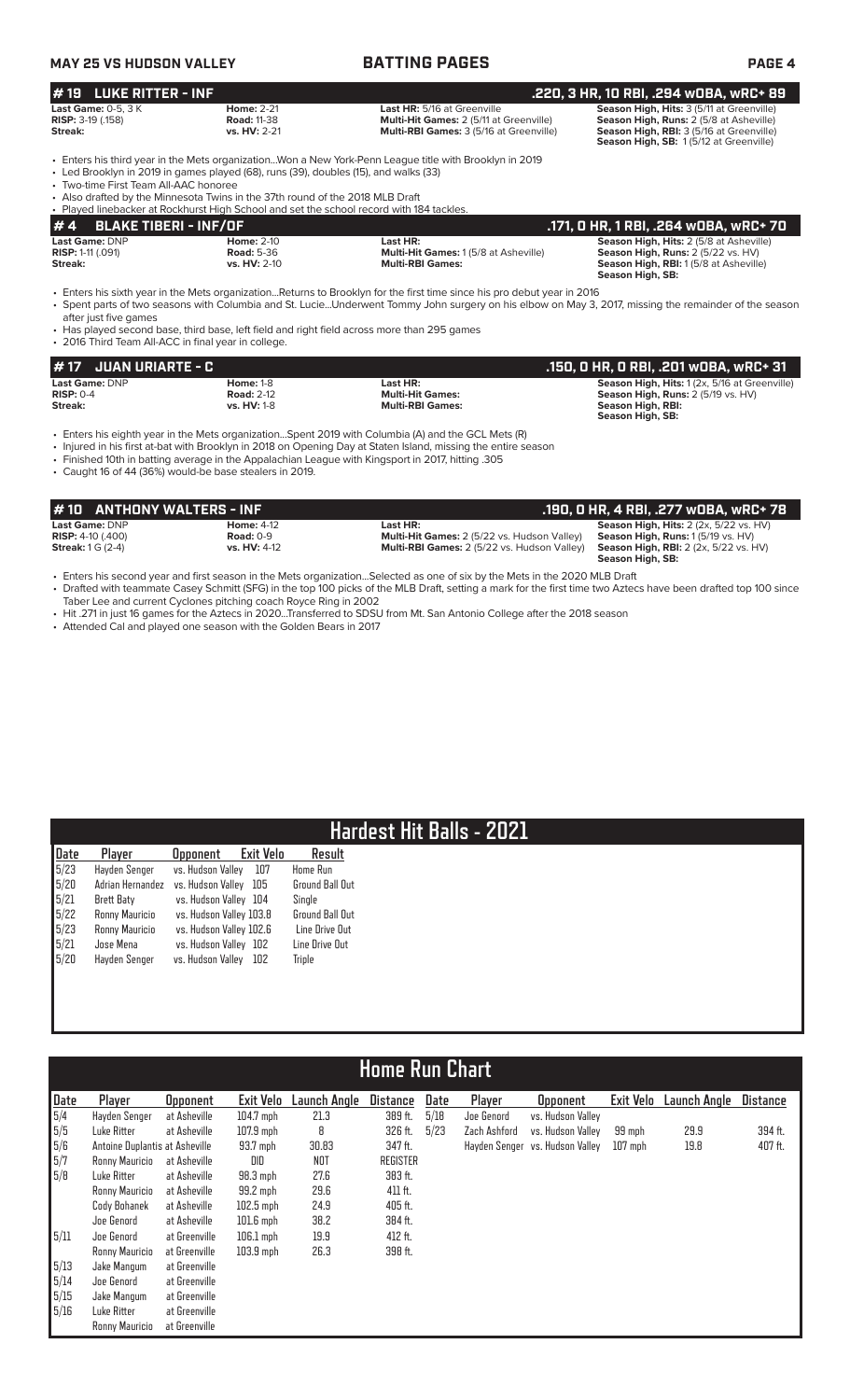|                                                                                                                                                                                    | <b>BATTING PAGES</b>                                                                                                                                                                                                                                                                                                                                                            |                                                                                                                                                                       | <b>MAY 25 VS HUDSON VALLEY</b>                                                                          |
|------------------------------------------------------------------------------------------------------------------------------------------------------------------------------------|---------------------------------------------------------------------------------------------------------------------------------------------------------------------------------------------------------------------------------------------------------------------------------------------------------------------------------------------------------------------------------|-----------------------------------------------------------------------------------------------------------------------------------------------------------------------|---------------------------------------------------------------------------------------------------------|
| .220, 3 HR, 10 RBI, .294 wOBA, wRC+ 89                                                                                                                                             |                                                                                                                                                                                                                                                                                                                                                                                 |                                                                                                                                                                       | <b>LUKE RITTER - INF</b><br># 19                                                                        |
| Season High, Hits: 3 (5/11 at Greenville)<br>Season High, Runs: 2 (5/8 at Asheville)<br>Season High, RBI: 3 (5/16 at Greenville)<br>Season High, SB: 1(5/12 at Greenville)         | Last HR: 5/16 at Greenville<br>Multi-Hit Games: 2 (5/11 at Greenville)<br>Multi-RBI Games: 3 (5/16 at Greenville)                                                                                                                                                                                                                                                               | <b>Home: 2-21</b><br><b>Road: 11-38</b><br>vs. HV: 2-21                                                                                                               | Last Game: 0-5, 3 K<br>RISP: 3-19 (.158)<br>Streak:                                                     |
|                                                                                                                                                                                    | • Enters his third year in the Mets organizationWon a New York-Penn League title with Brooklyn in 2019                                                                                                                                                                                                                                                                          | • Led Brooklyn in 2019 in games played (68), runs (39), doubles (15), and walks (33)<br>• Also drafted by the Minnesota Twins in the 37th round of the 2018 MLB Draft | • Two-time First Team All-AAC honoree                                                                   |
| .171, 0 HR, 1 RBI, .264 w0BA, wRC+ 70                                                                                                                                              |                                                                                                                                                                                                                                                                                                                                                                                 | • Played linebacker at Rockhurst High School and set the school record with 184 tackles.                                                                              | #4<br><b>BLAKE TIBERI - INF/OF</b>                                                                      |
| Season High, Hits: 2 (5/8 at Asheville)<br>Season High, Runs: 2 (5/22 vs. HV)<br>Season High, RBI: 1 (5/8 at Asheville)<br>Season High, SB:                                        | Last HR:<br>Multi-Hit Games: 1 (5/8 at Asheville)<br><b>Multi-RBI Games:</b>                                                                                                                                                                                                                                                                                                    | Home: 2-10<br><b>Road: 5-36</b><br>vs. HV: 2-10                                                                                                                       | Last Game: DNP<br><b>RISP: 1-11 (.091)</b><br>Streak:                                                   |
|                                                                                                                                                                                    | • Enters his sixth year in the Mets organizationReturns to Brooklyn for the first time since his pro debut year in 2016<br>• Spent parts of two seasons with Columbia and St. LucieUnderwent Tommy John surgery on his elbow on May 3, 2017, missing the remainder of the season<br>• Has played second base, third base, left field and right field across more than 295 games |                                                                                                                                                                       | after just five games<br>• 2016 Third Team All-ACC in final year in college.                            |
| .150, 0 HR, 0 RBI, .201 w0BA, wRC+ 31                                                                                                                                              |                                                                                                                                                                                                                                                                                                                                                                                 |                                                                                                                                                                       | <b>JUAN URIARTE - C</b><br># 17                                                                         |
| Season High, Hits: 1 (2x, 5/16 at Greenville)<br>Season High, Runs: 2 (5/19 vs. HV)<br>Season High, RBI:<br>Season High, SB:                                                       | Last HR:<br><b>Multi-Hit Games:</b><br><b>Multi-RBI Games:</b>                                                                                                                                                                                                                                                                                                                  | <b>Home: 1-8</b><br><b>Road: 2-12</b><br>vs. HV: 1-8                                                                                                                  | Last Game: DNP<br><b>RISP: 0-4</b><br>Streak:                                                           |
|                                                                                                                                                                                    | · Enters his eighth year in the Mets organizationSpent 2019 with Columbia (A) and the GCL Mets (R)<br>• Injured in his first at-bat with Brooklyn in 2018 on Opening Day at Staten Island, missing the entire season<br>. Finished 10th in batting average in the Appalachian League with Kingsport in 2017, hitting .305                                                       | • Caught 16 of 44 (36%) would-be base stealers in 2019.                                                                                                               |                                                                                                         |
|                                                                                                                                                                                    |                                                                                                                                                                                                                                                                                                                                                                                 |                                                                                                                                                                       |                                                                                                         |
|                                                                                                                                                                                    |                                                                                                                                                                                                                                                                                                                                                                                 |                                                                                                                                                                       |                                                                                                         |
| .190, 0 HR, 4 RBI, .277 w0BA, wRC+ 78<br>Season High, Hits: 2 (2x, 5/22 vs. HV)<br>Season High, Runs: 1 (5/19 vs. HV)<br>Season High, RBI: 2 (2x, 5/22 vs. HV)<br>Season High, SB: | Last HR:<br>Multi-Hit Games: 2 (5/22 vs. Hudson Valley)<br>Multi-RBI Games: 2 (5/22 vs. Hudson Valley)                                                                                                                                                                                                                                                                          | <b>Home: 4-12</b><br><b>Road: 0-9</b><br>vs. HV: 4-12                                                                                                                 | <b>ANTHONY WALTERS - INF</b><br># 10<br>Last Game: DNP<br>RISP: 4-10 (.400)<br><b>Streak: 1 G (2-4)</b> |

# **Hardest Hit Balls - 2021**

| Date                                               | Player            | <b>Opponent</b>         | Exit Velo | Result                 |
|----------------------------------------------------|-------------------|-------------------------|-----------|------------------------|
| $\frac{5}{23}$<br>$\frac{5}{20}$<br>$\frac{5}{21}$ | Hayden Senger     | vs. Hudson Valley       | 107       | <b>Home Run</b>        |
|                                                    | Adrian Hernandez  | vs. Hudson Valley       | 105       | <b>Ground Ball Out</b> |
|                                                    | <b>Brett Baty</b> | vs. Hudson Valley 104   |           | Single                 |
| $5/22$<br>$5/23$                                   | Ronny Mauricio    | vs. Hudson Valley 103.8 |           | <b>Ground Ball Out</b> |
|                                                    | Ronny Mauricio    | vs. Hudson Valley 102.6 |           | Line Drive Out         |
| 5/21                                               | Jose Mena         | vs. Hudson Valley 102   |           | Line Drive Out         |
| 5/20                                               | Hayden Senger     | vs. Hudson Valley       | 102       | <b>Triple</b>          |
|                                                    |                   |                         |           |                        |

|      | <b>Home Run Chart</b>          |                 |             |              |                 |      |               |                   |           |                     |                 |  |  |
|------|--------------------------------|-----------------|-------------|--------------|-----------------|------|---------------|-------------------|-----------|---------------------|-----------------|--|--|
| Date | Player                         | <b>Opponent</b> | Exit Velo   | Launch Angle | <b>Distance</b> | Date | Player        | <b>Opponent</b>   | Exit Velo | <b>Launch Angle</b> | <b>Distance</b> |  |  |
| 5/4  | Hayden Senger                  | at Asheville    | $104.7$ mph | 21.3         | 389 ft.         | 5/18 | Joe Genord    | vs. Hudson Valley |           |                     |                 |  |  |
| 5/5  | Luke Ritter                    | at Asheville    | $107.9$ mph | 8            | 326 ft.         | 5/23 | Zach Ashford  | vs. Hudson Valley | 99 mph    | 29.9                | 394 ft.         |  |  |
| 5/6  | Antoine Duplantis at Asheville |                 | 93.7 mph    | 30.83        | 347 ft.         |      | Hayden Senger | vs. Hudson Valley | $107$ mph | 19.8                | 407 ft.         |  |  |
| 5/7  | Ronny Mauricio                 | at Asheville    | DID         | NOT          | <b>REGISTER</b> |      |               |                   |           |                     |                 |  |  |
| 5/8  | Luke Ritter                    | at Asheville    | $98.3$ mph  | 27.6         | 383 ft.         |      |               |                   |           |                     |                 |  |  |
|      | Ronny Mauricio                 | at Asheville    | 99.2 mph    | 29.6         | 411 ft.         |      |               |                   |           |                     |                 |  |  |
|      | Cody Bohanek                   | at Asheville    | $102.5$ mph | 24.9         | 405 ft.         |      |               |                   |           |                     |                 |  |  |
|      | Joe Genord                     | at Asheville    | $101.6$ mph | 38.2         | 384 ft.         |      |               |                   |           |                     |                 |  |  |
| 5/11 | Joe Genord                     | at Greenville   | $106.1$ mph | 19.9         | 412 ft.         |      |               |                   |           |                     |                 |  |  |
|      | Ronny Mauricio                 | at Greenville   | $103.9$ mph | 26.3         | 398 ft.         |      |               |                   |           |                     |                 |  |  |
| 5/13 | Jake Mangum                    | at Greenville   |             |              |                 |      |               |                   |           |                     |                 |  |  |
| 5/14 | Joe Genord                     | at Greenville   |             |              |                 |      |               |                   |           |                     |                 |  |  |
| 5/15 | Jake Mangum                    | at Greenville   |             |              |                 |      |               |                   |           |                     |                 |  |  |
| 5/16 | Luke Ritter                    | at Greenville   |             |              |                 |      |               |                   |           |                     |                 |  |  |
|      | Ronny Mauricio                 | at Greenville   |             |              |                 |      |               |                   |           |                     |                 |  |  |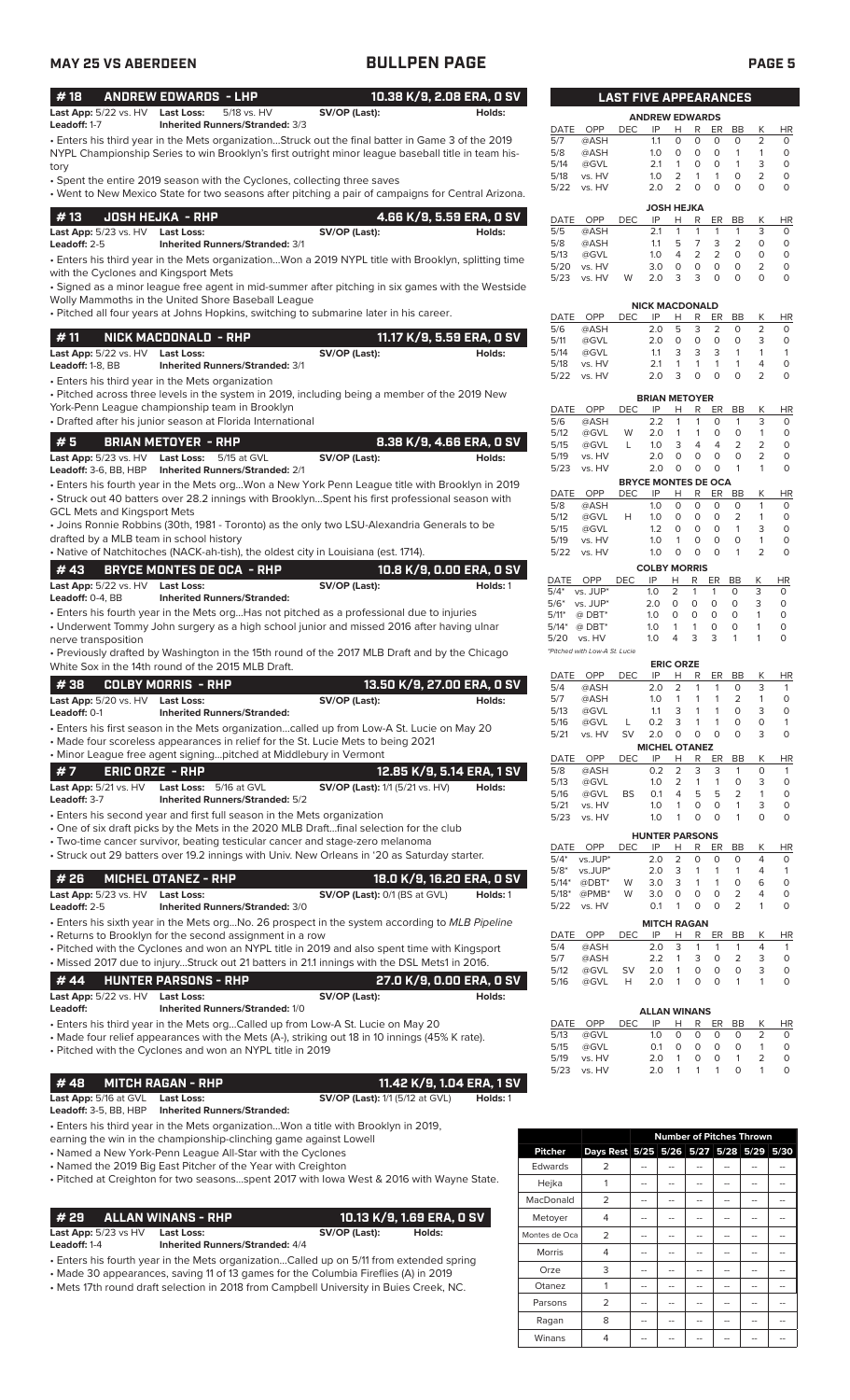| ٦<br>and the state of the state of the state of the state of the state of the state of the state of the state of th |  |
|---------------------------------------------------------------------------------------------------------------------|--|
|---------------------------------------------------------------------------------------------------------------------|--|

| <b>MAY 25 VS ABERDEEN</b>                            |                                                                                                                                                                                                         | <b>BULLPEN PAGE</b>                    |                            |                      |                                         |                                         |                   |                                                                                  |                                    |                                     | <b>PAGE 5</b>                  |                                   |
|------------------------------------------------------|---------------------------------------------------------------------------------------------------------------------------------------------------------------------------------------------------------|----------------------------------------|----------------------------|----------------------|-----------------------------------------|-----------------------------------------|-------------------|----------------------------------------------------------------------------------|------------------------------------|-------------------------------------|--------------------------------|-----------------------------------|
| #18                                                  | <b>ANDREW EDWARDS - LHP</b>                                                                                                                                                                             |                                        | 10.38 K/9, 2.08 ERA, 0 SV  |                      |                                         | <b>LAST FIVE APPEARANCES</b>            |                   |                                                                                  |                                    |                                     |                                |                                   |
| <b>Last App:</b> 5/22 vs. HV<br>Leadoff: 1-7         | <b>Last Loss:</b><br>5/18 vs. HV<br>Inherited Runners/Stranded: 3/3                                                                                                                                     | SV/OP (Last):                          | Holds:                     |                      |                                         |                                         |                   | <b>ANDREW EDWARDS</b>                                                            |                                    |                                     |                                |                                   |
|                                                      | • Enters his third year in the Mets organizationStruck out the final batter in Game 3 of the 2019<br>NYPL Championship Series to win Brooklyn's first outright minor league baseball title in team his- |                                        |                            | DATE<br>5/7<br>5/8   | OPP<br>@ASH<br>@ASH                     | <b>DEC</b>                              | IP<br>1.1<br>1.0  | н<br>R<br>$\circ$<br>0<br>$\circ$<br>0                                           | ER<br>0<br>$\circ$                 | BB<br>0<br>$\mathbf{1}$             | К<br>2<br>$\mathbf{1}$         | HR<br>$\circ$<br>$\circ$          |
| tory                                                 | • Spent the entire 2019 season with the Cyclones, collecting three saves<br>• Went to New Mexico State for two seasons after pitching a pair of campaigns for Central Arizona.                          |                                        |                            | 5/14<br>5/18<br>5/22 | @GVL<br>vs. HV<br>vs. HV                |                                         | 2.1<br>1.0<br>2.0 | 0<br>$\mathbf{1}$<br>$\overline{2}$<br>$\mathbf{1}$<br>$\overline{2}$<br>$\circ$ | $\circ$<br>$\mathbf{1}$<br>$\circ$ | $\mathbf{1}$<br>$\circ$<br>$\Omega$ | 3<br>2<br>$\Omega$             | $\circ$<br>$\mathsf O$<br>$\circ$ |
| #13                                                  | <b>JOSH HEJKA - RHP</b>                                                                                                                                                                                 |                                        | 4.66 K/9, 5.59 ERA, 0 SV   | DATE                 | OPP                                     | <b>DEC</b>                              | IP                | <b>JOSH HEJKA</b><br>н<br>R                                                      | ER                                 | BB                                  | К                              | <b>HR</b>                         |
| Last App: 5/23 vs. HV Last Loss:<br>Leadoff: 2-5     | <b>Inherited Runners/Stranded: 3/1</b>                                                                                                                                                                  | SV/OP (Last):                          | Holds:                     | 5/5<br>5/8           | @ASH<br>@ASH                            |                                         | 2.1<br>1.1        | $\mathbf{1}$<br>$\mathbf{1}$<br>5<br>7                                           | $\mathbf{1}$<br>3                  | $\mathbf{1}$<br>2                   | 3<br>0                         | $\circ$<br>$\circ$                |
|                                                      | . Enters his third year in the Mets organizationWon a 2019 NYPL title with Brooklyn, splitting time                                                                                                     |                                        |                            | 5/13                 | @GVL                                    |                                         | 1.0               | $\overline{2}$<br>4                                                              | 2                                  | $\circ$                             | $\circ$                        | $\mathsf O$                       |
| with the Cyclones and Kingsport Mets                 | • Signed as a minor league free agent in mid-summer after pitching in six games with the Westside<br>Wolly Mammoths in the United Shore Baseball League                                                 |                                        |                            | $5/20$<br>5/23       | vs. HV<br>vs. HV                        | W                                       | 3.0<br>2.0        | $\circ$<br>0<br>3<br>3                                                           | $\circ$<br>$\circ$                 | $\circ$<br>$\Omega$                 | 2<br>$\Omega$                  | $\circ$<br>$\mathsf O$            |
|                                                      | . Pitched all four years at Johns Hopkins, switching to submarine later in his career.                                                                                                                  |                                        |                            | DATE                 | <b>OPP</b>                              | DEC                                     | IP                | <b>NICK MACDONALD</b><br>н<br>R                                                  | ER                                 | BB                                  | К                              | HR                                |
| #11                                                  | NICK MACDONALD - RHP                                                                                                                                                                                    |                                        | 11.17 K/9, 5.59 ERA, 0 SV  | 5/6<br>5/11          | @ASH<br>@GVL                            |                                         | 2.0<br>2.0        | 5<br>3<br>$\circ$<br>0                                                           | 2<br>$\circ$                       | $\circ$<br>$\circ$                  | 2<br>3                         | 0<br>$\circ$                      |
| Last App: 5/22 vs. HV Last Loss:<br>Leadoff: 1-8, BB | <b>Inherited Runners/Stranded: 3/1</b>                                                                                                                                                                  | SV/OP (Last):                          | Holds:                     | 5/14<br>5/18         | @GVL<br>vs. HV                          |                                         | 1.1<br>2.1        | 3<br>3<br>$\mathbf{1}$<br>$\mathbf{1}$                                           | 3<br>$\mathbf{1}$                  | $\mathbf{1}$<br>$\mathbf{1}$        | $\mathbf{1}$<br>$\overline{4}$ | $\mathbf{1}$<br>$\circ$           |
|                                                      | • Enters his third year in the Mets organization                                                                                                                                                        |                                        |                            | 5/22                 | vs. HV                                  |                                         | 2.0               | 3<br>$\circ$                                                                     | $\circ$                            | $\Omega$                            | 2                              | $\circ$                           |
|                                                      | • Pitched across three levels in the system in 2019, including being a member of the 2019 New<br>York-Penn League championship team in Brooklyn                                                         |                                        |                            |                      |                                         |                                         |                   | <b>BRIAN METOYER</b>                                                             |                                    |                                     |                                |                                   |
|                                                      | • Drafted after his junior season at Florida International                                                                                                                                              |                                        |                            | DATE<br>5/6          | OPP<br>@ASH                             | <b>DEC</b>                              | IP<br>2.2         | R<br>Н<br>$\mathbf{1}$<br>$\mathbf{1}$                                           | ER<br>$\circ$                      | BB<br>$\mathbf{1}$                  | Κ<br>3                         | HR<br>$\circ$                     |
| #5                                                   | <b>BRIAN METOYER - RHP</b>                                                                                                                                                                              |                                        | 8.38 K/9, 4.66 ERA, 0 SV   | 5/12<br>5/15         | @GVL<br>@GVL                            | W<br>L                                  | 2.0<br>1.0        | $\overline{1}$<br>$\mathbf{1}$<br>3<br>4                                         | 0<br>4                             | $\circ$<br>$\overline{2}$           | $\mathbf{1}$<br>2              | $\circ$<br>$\circ$                |
| Last App: $5/23$ vs. $HV$                            | <b>Last Loss:</b> 5/15 at GVL                                                                                                                                                                           | SV/OP (Last):                          | Holds:                     | 5/19<br>5/23         | vs. HV<br>vs. HV                        |                                         | 2.0<br>2.0        | $\circ$<br>0<br>$\circ$<br>$\circ$                                               | $\circ$<br>$\circ$                 | $\circ$<br>$\mathbf{1}$             | 2<br>1                         | $\circ$<br>$\circ$                |
| Leadoff: 3-6, BB, HBP                                | <b>Inherited Runners/Stranded: 2/1</b><br>. Enters his fourth year in the Mets orgWon a New York Penn League title with Brooklyn in 2019                                                                |                                        |                            |                      |                                         |                                         |                   | <b>BRYCE MONTES DE OCA</b>                                                       |                                    |                                     |                                |                                   |
|                                                      | • Struck out 40 batters over 28.2 innings with BrooklynSpent his first professional season with                                                                                                         |                                        |                            | DATE<br>5/8          | OPP<br>@ASH                             | <b>DEC</b>                              | IP<br>1.0         | R<br>Н<br>0<br>0                                                                 | ER<br>0                            | BB<br>$\circ$                       | K<br>$\mathbf{1}$              | <b>HR</b><br>$\circ$              |
| <b>GCL Mets and Kingsport Mets</b>                   | • Joins Ronnie Robbins (30th, 1981 - Toronto) as the only two LSU-Alexandria Generals to be                                                                                                             |                                        |                            | 5/12<br>5/15         | @GVL<br>@GVL                            | H                                       | 1.0<br>1.2        | 0<br>0<br>0<br>0                                                                 | $\circ$<br>$\circ$                 | 2<br>$\mathbf{1}$                   | $\mathbf{1}$<br>3              | $\circ$<br>$\circ$                |
| drafted by a MLB team in school history              | • Native of Natchitoches (NACK-ah-tish), the oldest city in Louisiana (est. 1714).                                                                                                                      |                                        |                            | 5/19                 | vs. HV                                  |                                         | 1.0<br>1.0        | $\circ$<br>1<br>$\circ$<br>$\circ$                                               | $\circ$<br>$\circ$                 | $\circ$<br>$\mathbf{1}$             | $\mathbf{1}$<br>$\overline{2}$ | $\mathsf O$<br>$\circ$            |
| #43                                                  | <b>BRYCE MONTES DE OCA - RHP</b>                                                                                                                                                                        |                                        | 10.8 K/9, 0.00 ERA, 0 SV   |                      | 5/22 vs. HV                             |                                         |                   | <b>COLBY MORRIS</b>                                                              |                                    |                                     |                                |                                   |
| <b>Last App:</b> 5/22 vs. HV                         | <b>Last Loss:</b>                                                                                                                                                                                       | SV/OP (Last):                          | Holds: 1                   | DATE                 | OPP<br>$5/4^*$ vs. JUP*                 | <b>DEC</b>                              | IP<br>1.0         | Н<br>R<br>2<br>$\mathbf{1}$                                                      | ER<br>$\mathbf{1}$                 | <b>BB</b><br>$\circ$                | Κ<br>3                         | HR<br>0                           |
| Leadoff: 0-4. BB                                     | <b>Inherited Runners/Stranded:</b><br>• Enters his fourth year in the Mets org Has not pitched as a professional due to injuries                                                                        |                                        |                            | $5/11*$              | $5/6^*$ vs. JUP*<br>@ DBT*              |                                         | 2.0<br>1.0        | $\circ$<br>$\circ$<br>0<br>0                                                     | $\circ$<br>0                       | 0<br>0                              | 3<br>$\mathbf{1}$              | 0<br>$\circ$                      |
|                                                      | • Underwent Tommy John surgery as a high school junior and missed 2016 after having ulnar                                                                                                               |                                        |                            | $5/14*$              | $@$ DBT*                                |                                         | 1.0               | 1<br>$\mathbf{1}$                                                                | $\circ$                            | $\circ$                             | $\mathbf{1}$                   | $\circ$                           |
| nerve transposition                                  | • Previously drafted by Washington in the 15th round of the 2017 MLB Draft and by the Chicago                                                                                                           |                                        |                            | 5/20                 | vs. HV<br>*Pitched with Low-A St. Lucie |                                         | 1.0               | 3<br>4                                                                           | 3                                  | 1                                   | $\mathbf{1}$                   | $\circ$                           |
|                                                      | White Sox in the 14th round of the 2015 MLB Draft.                                                                                                                                                      |                                        |                            | DATE                 | OPP                                     | DEC                                     | IP                | <b>ERIC ORZE</b><br>н<br>R                                                       | ER                                 | BB                                  | К                              | HR                                |
| #38                                                  | <b>COLBY MORRIS - RHP</b>                                                                                                                                                                               |                                        | 13.50 K/9, 27.00 ERA, 0 SV | 5/4                  | @ASH<br>@ASH                            |                                         | 2.0<br>1.0        | 2<br>$\mathbf{1}$<br>$\mathbf{1}$<br>1                                           | $\mathbf{1}$<br>1                  | 0<br>2                              | 3<br>$\mathbf{1}$              | 1<br>$\circ$                      |
| Last App: 5/20 vs. HV Last Loss:<br>Leadoff: 0-1     | <b>Inherited Runners/Stranded:</b>                                                                                                                                                                      | SV/OP (Last):                          | Holds:                     | 5/7<br>5/13          | @GVL                                    |                                         | 1.1               | 3<br>$\mathbf{1}$                                                                | $\mathbf{1}$                       | $\mathbf 0$                         | 3                              | $\mathsf O$                       |
|                                                      | • Enters his first season in the Mets organizationcalled up from Low-A St. Lucie on May 20                                                                                                              |                                        |                            | 5/16<br>5/21         | @GVL<br>vs. HV                          | L<br>SV                                 | 0.2<br>2.0        | 3<br>$\mathbf{1}$<br>$\circ$<br>0                                                | $\mathbf{1}$<br>$\circ$            | $\circ$<br>$\Omega$                 | $\circ$<br>3                   | $\mathbf{1}$<br>$\mathsf O$       |
|                                                      | • Made four scoreless appearances in relief for the St. Lucie Mets to being 2021<br>• Minor League free agent signingpitched at Middlebury in Vermont                                                   |                                        |                            | DATE                 | OPP                                     | DEC                                     | IP                | <b>MICHEL OTANEZ</b><br>Н<br>R                                                   | ER                                 | BB                                  | K                              | <b>HR</b>                         |
| #7<br><b>ERIC ORZE - RHP</b>                         |                                                                                                                                                                                                         |                                        | 12.85 K/9, 5.14 ERA, 1 SV  | 5/8<br>5/13          | @ASH<br>@GVL                            |                                         | 0.2<br>1.0        | 2<br>3<br>$\overline{2}$<br>1                                                    | 3<br>$\mathbf{1}$                  | $\mathbf{1}$<br>0                   | $\circ$<br>3                   | $\overline{1}$<br>$\circ$         |
| Last App: 5/21 vs. HV<br>Leadoff: 3-7                | Last Loss: 5/16 at GVL<br><b>Inherited Runners/Stranded: 5/2</b>                                                                                                                                        | <b>SV/OP (Last):</b> 1/1 (5/21 vs. HV) | Holds:                     | 5/16                 | @GVL                                    | BS                                      | 0.1               | 5<br>$\overline{4}$                                                              | 5                                  | $\overline{2}$                      | $\mathbf{1}$                   | $\circ$                           |
|                                                      | • Enters his second year and first full season in the Mets organization                                                                                                                                 |                                        |                            | 5/21<br>5/23         | vs. HV<br>vs. HV                        |                                         | 1.0<br>1.0        | $\mathbf{1}$<br>$\mathbf 0$<br>$\circ$<br>$\mathbf{1}$                           | $\circ$<br>$\circ$                 | $\mathbf{1}$<br>1                   | 3<br>$\circ$                   | $\circ$<br>$\circ$                |
|                                                      | . One of six draft picks by the Mets in the 2020 MLB Draftfinal selection for the club<br>• Two-time cancer survivor, beating testicular cancer and stage-zero melanoma                                 |                                        |                            |                      |                                         |                                         |                   | <b>HUNTER PARSONS</b>                                                            |                                    |                                     |                                |                                   |
|                                                      | • Struck out 29 batters over 19.2 innings with Univ. New Orleans in '20 as Saturday starter.                                                                                                            |                                        |                            | DATE<br>$5/4*$       | OPP<br>vs.JUP*                          | DEC                                     | IP<br>2.0         | R<br>н<br>$\overline{2}$<br>0                                                    | ER<br>$\circ$                      | BB<br>$\circ$                       | К<br>4                         | HR<br>$\circ$                     |
| #26                                                  | <b>MICHEL OTANEZ - RHP</b>                                                                                                                                                                              |                                        | 18.0 K/9, 16.20 ERA, 0 SV  | $5/8*$<br>$5/14*$    | vs.JUP*<br>$@DBT^*$                     | W                                       | 2.0<br>3.0        | 3<br>$\mathbf{1}$<br>3<br>$\mathbf{1}$                                           | $\mathbf{1}$<br>$\mathbf{1}$       | $\mathbf{1}$<br>0                   | 4<br>6                         | $\mathbf{1}$<br>$\mathsf O$       |
| Last App: 5/23 vs. HV<br>Leadoff: 2-5                | <b>Last Loss:</b><br>Inherited Runners/Stranded: 3/0                                                                                                                                                    | SV/OP (Last): 0/1 (BS at GVL)          | Holds: 1                   | $5/18*$<br>5/22      | $@PMB*$<br>vs. HV                       | W                                       | 3.0<br>0.1        | $\mathbf 0$<br>0<br>$\mathbf{1}$<br>0                                            | $\circ$<br>$\circ$                 | $\overline{2}$<br>$\overline{2}$    | 4<br>1                         | $\circ$<br>$\circ$                |
|                                                      | • Enters his sixth year in the Mets org No. 26 prospect in the system according to MLB Pipeline                                                                                                         |                                        |                            |                      |                                         |                                         |                   | <b>MITCH RAGAN</b>                                                               |                                    |                                     |                                |                                   |
|                                                      | • Returns to Brooklyn for the second assignment in a row<br>• Pitched with the Cyclones and won an NYPL title in 2019 and also spent time with Kingsport                                                |                                        |                            | DATE<br>5/4          | OPP<br>@ASH                             | <b>DEC</b>                              | IP<br>2.0         | R<br>Н<br>3<br>$\mathbf{1}$                                                      | ER<br>$\mathbf{1}$                 | BB<br>1                             | К<br>4                         | HR<br>$\mathbf{1}$                |
|                                                      | . Missed 2017 due to injuryStruck out 21 batters in 21.1 innings with the DSL Mets1 in 2016.                                                                                                            |                                        |                            | 5/7<br>5/12          | @ASH<br>@GVL                            | <b>SV</b>                               | 2.2<br>2.0        | $\mathbf{1}$<br>3<br>0<br>1                                                      | 0<br>$\circ$                       | $\overline{2}$<br>$\mathbf 0$       | 3<br>3                         | $\circ$<br>$\circ$                |
| #44                                                  | <b>HUNTER PARSONS - RHP</b>                                                                                                                                                                             |                                        | 27.0 K/9, 0.00 ERA, 0 SV   | 5/16                 | @GVL                                    | H                                       | 2.0               | 0<br>$\mathbf{1}$                                                                | $\circ$                            | $\mathbf{1}$                        | 1                              | $\circ$                           |
| Last App: $5/22$ vs. $HV$<br>Leadoff:                | <b>Last Loss:</b><br>Inherited Runners/Stranded: 1/0                                                                                                                                                    | SV/OP (Last):                          | Holds:                     |                      |                                         |                                         |                   | <b>ALLAN WINANS</b>                                                              |                                    |                                     |                                |                                   |
|                                                      | • Enters his third year in the Mets orgCalled up from Low-A St. Lucie on May 20                                                                                                                         |                                        |                            | DATE                 | OPP                                     | <b>DEC</b>                              | IP                | н<br>R                                                                           | ER                                 | BB                                  | Κ                              | HR                                |
|                                                      | • Made four relief appearances with the Mets (A-), striking out 18 in 10 innings (45% K rate).<br>• Pitched with the Cyclones and won an NYPL title in 2019                                             |                                        |                            | 5/13<br>5/15         | @GVL<br>@GVL                            |                                         | 1.0<br>0.1        | 0<br>0<br>$\mathbf 0$<br>0                                                       | $\circ$<br>$\circ$                 | 0<br>$\circ$                        | 2<br>$\mathbf{1}$              | $\circ$<br>$\circ$                |
|                                                      |                                                                                                                                                                                                         |                                        |                            | 5/19<br>5/23         | vs. HV<br>vs. HV                        |                                         | 2.0<br>2.0        | $\mathbf 0$<br>1<br>$\mathbf{1}$<br>1                                            | $\circ$<br>$\mathbf{1}$            | $\mathbf{1}$<br>$\mathbf 0$         | 2<br>$\mathbf{1}$              | $\circ$<br>$\circ$                |
| #48                                                  | <b>MITCH RAGAN - RHP</b>                                                                                                                                                                                |                                        | 11.42 K/9, 1.04 ERA, 1 SV  |                      |                                         |                                         |                   |                                                                                  |                                    |                                     |                                |                                   |
| Last App: 5/16 at GVL<br>Leadoff: 3-5, BB, HBP       | <b>Last Loss:</b><br><b>Inherited Runners/Stranded:</b>                                                                                                                                                 | SV/OP (Last): 1/1 (5/12 at GVL)        | Holds: 1                   |                      |                                         |                                         |                   |                                                                                  |                                    |                                     |                                |                                   |
|                                                      | . Enters his third year in the Mets organizationWon a title with Brooklyn in 2019,                                                                                                                      |                                        |                            |                      |                                         |                                         |                   | <b>Number of Pitches Thrown</b>                                                  |                                    |                                     |                                |                                   |
|                                                      | earning the win in the championship-clinching game against Lowell<br>• Named a New York-Penn League All-Star with the Cyclones                                                                          |                                        |                            | <b>Pitcher</b>       |                                         | Days Rest 5/25 5/26 5/27 5/28 5/29 5/30 |                   |                                                                                  |                                    |                                     |                                |                                   |

• Named the 2019 Big East Pitcher of the Year with Creighton

• Pitched at Creighton for two seasons...spent 2017 with Iowa West & 2016 with Wayne State.

# **# 29 ALLAN WINANS - RHP 10.13 K/9, 1.69 ERA, 0 SV**<br>
Last App: 5/23 vs HV Last Loss: **SV/OP** (Last): **Holds: Holds:**

**Last App:** 5/23 vs HV **Last Loss:**<br>Leadoff: 1-4 **Inherited R** 

**Leadoff:** 1-4 **Inherited Runners/Stranded:** 4/4

• Enters his fourth year in the Mets organization...Called up on 5/11 from extended spring

• Made 30 appearances, saving 11 of 13 games for the Columbia Fireflies (A) in 2019 • Mets 17th round draft selection in 2018 from Campbell University in Buies Creek, NC.

| 5/8         | @ASH   |            | 1.0                   | 0              | 0 | 0              | 1  | 1 | 0  |
|-------------|--------|------------|-----------------------|----------------|---|----------------|----|---|----|
| 5/14        | @GVL   |            | 2.1                   | 1              | 0 | O              | 1  | 3 | 0  |
| 5/18        | vs. HV |            | 1.0                   | 2              | 1 | 1              | 0  | 2 | 0  |
| 5/22        | vs. HV |            | 2.0                   | $\overline{2}$ | 0 | 0              | 0  | 0 | 0  |
|             |        |            | <b>JOSH HEJKA</b>     |                |   |                |    |   |    |
| DATE        | OPP    | DEC        | IP                    | н              | R | ER             | ВB | Κ | HR |
| 5/5         | @ASH   |            | 2.1                   | 1              | 1 | 1              | 1  | 3 | 0  |
| 5/8         | @ASH   |            | 1.1                   | 5              | 7 | 3              | 2  | 0 | 0  |
| 5/13        | @GVL   |            | 1.0                   | 4              | 2 | $\overline{2}$ | 0  | 0 | 0  |
| 5/20        | vs. HV |            | 3.0                   | 0              | 0 | 0              | 0  | 2 | 0  |
| 5/23        | vs. HV | W          | 2.0                   | 3              | 3 | $\Omega$       | O  | 0 | 0  |
|             |        |            | <b>NICK MACDONALD</b> |                |   |                |    |   |    |
| <b>DATE</b> | OPP    | <b>DEC</b> | IP                    | н              | R | ER             | BB | Κ | HR |
| 5/6         | @ASH   |            | 2.0                   | 5              | 3 | $\overline{2}$ | 0  | 2 | 0  |
| 5/11        | @GVL   |            | 2.0                   | 0              | 0 | 0              | 0  | 3 | 0  |
| 5/14        | @GVL   |            | 1.1                   | 3              | 3 | 3              | 1  | 1 | 1  |
| 5/18        | vs. HV |            | 2.1                   | 1              | 1 | 1              | 1  | 4 | 0  |
| 5/22        | vs. HV |            | 2.0                   | 3              | 0 | 0              | 0  | 2 | 0  |
|             |        |            | <b>BRIAN METOYER</b>  |                |   |                |    |   |    |
|             |        |            |                       |                |   |                |    |   |    |

| DATE        | OPP      | DEC        | IP                         | н              | R        | ER                       | BB                       | Κ              | ΗR        |
|-------------|----------|------------|----------------------------|----------------|----------|--------------------------|--------------------------|----------------|-----------|
| 5/6         | @ASH     |            | 2.2                        | 1              | 1        | 0                        | 1                        | 3              | O         |
| 5/12        | @GVL     | W          | 2.0                        | 1              | 1        | 0                        | 0                        | 1              | O         |
| 5/15        | @GVL     | L          | 1.0                        | 3              | 4        | 4                        | 2                        | 2              | 0         |
| 5/19        | vs. HV   |            | 2.0                        | O              | 0        | 0                        | 0                        | $\overline{2}$ | O         |
| 5/23        | vs. HV   |            | 2.0                        | O              | 0        | 0                        | 1                        | 1              | O         |
|             |          |            | <b>BRYCE MONTES DE OCA</b> |                |          |                          |                          |                |           |
| <b>DATE</b> | OPP      | <b>DEC</b> | IP                         | н              | R        | ER                       | BB                       | Κ              | <b>HR</b> |
| 5/8         | @ASH     |            | 1.0                        | O              | $\Omega$ | $\Omega$                 | O                        | 1              | $\Omega$  |
| 5/12        | @GVL     | н          | 1.0                        | 0              | 0        | O                        | $\overline{2}$           | 1              | $\Omega$  |
| 5/15        | @GVL     |            | 1.2                        | 0              | 0        | O                        | 1                        | 3              | $\Omega$  |
| 5/19        | vs. HV   |            | 1.0                        | 1              | 0        | O                        | O                        | 1              | $\Omega$  |
| 5/22        | vs. HV   |            | 1.0                        | 0              | 0        | $\Omega$                 | 1                        | $\overline{2}$ | 0         |
|             |          |            | <b>COLBY MORRIS</b>        |                |          |                          |                          |                |           |
| DATE        | OPP      | <b>DEC</b> | IP                         | н              | R        | ER                       | <b>BB</b>                | K              | ΗR        |
| $5/4*$      | vs. JUP* |            | 1.0                        | $\overline{2}$ | 1        | 1                        | $\Omega$                 | 3              | Ο         |
| $-10+$      | $ \sim$  |            | $\sim$ $\sim$              | $\sim$         | $\sim$   | $\overline{\phantom{0}}$ | $\overline{\phantom{0}}$ | ∽              | $\sim$    |

| $5/4^*$ vs. JUP*                                                                                                    |      |  |                   | 1.0 2 1 1 0 3     |                | <sup>n</sup> |
|---------------------------------------------------------------------------------------------------------------------|------|--|-------------------|-------------------|----------------|--------------|
| $5/6^*$ vs. JUP*                                                                                                    | 20 D |  | $0\quad 0\quad 0$ |                   | 0 <sup>3</sup> |              |
| $5/11^*$ @ DBT*                                                                                                     | 1.0  |  |                   |                   | 0 0 0 0 1      |              |
| 5/14* @ DBT*                                                                                                        | 1 O  |  |                   | 1 1 0 0           | $\overline{1}$ | O            |
| 5/20 vs. HV                                                                                                         | 1.0  |  |                   | 4   3   3   1   1 |                | O            |
| $\mathbb{R} \cap \{i_1, i_2, \ldots, i_{n-1}, \ldots, i_{n-1}, \ldots, i_{n-1}, \ldots, i_{n-1}, \ldots, i_{n-1}\}$ |      |  |                   |                   |                |              |

|  | <b>ERIC ORZE</b> |
|--|------------------|

| DATE        | OPP     | DEC | IP                    | н              | R        | ER       | <b>BB</b>      | K | <b>HR</b> |
|-------------|---------|-----|-----------------------|----------------|----------|----------|----------------|---|-----------|
| 5/4         | @ASH    |     | 2.0                   | $\overline{2}$ | 1        | 1        | O              | 3 | 1         |
| 5/7         | @ASH    |     | 1.0                   | 1              |          |          | 2              | 1 | 0         |
| 5/13        | @GVL    |     | 1.1                   | 3              |          |          | O              | 3 | 0         |
| 5/16        | @GVL    | L   | 0.2                   | 3              |          |          | O              | 0 | 1         |
| 5/21        | vs. HV  | SV  | 2.0                   | 0              | 0        | Ο        | O              | 3 | 0         |
|             |         |     | <b>MICHEL OTANEZ</b>  |                |          |          |                |   |           |
| <b>DATE</b> | OPP     | DEC | IP                    | н              | R        | ER       | BВ             | Κ | ΗR        |
| 5/8         | @ASH    |     | 0.2                   | $\overline{2}$ | 3        | 3        | 1              | O | 1         |
| 5/13        | @GVL    |     | 1.0                   | $\overline{2}$ | 1        | 1        | 0              | 3 | O         |
| 5/16        | @GVL    | BS  | 0.1                   | 4              | 5        | 5        | $\overline{2}$ | 1 | O         |
| 5/21        | vs. HV  |     | 1.0                   | 1              | 0        | 0        | 1              | 3 | O         |
| 5/23        | vs. HV  |     | 1.0                   | 1              | 0        | 0        | 1              | O | O         |
|             |         |     | <b>HUNTER PARSONS</b> |                |          |          |                |   |           |
| DATE        | OPP     | DEC | IP                    | н              | R        | ER       | <b>BB</b>      | Κ | HR        |
| $5/4*$      | vs.JUP* |     | 2.0                   | 2              | $\Omega$ | $\Omega$ | $\Omega$       | 4 | 0         |
| $5/8*$      | vs.JUP* |     | 2.0                   | 3              |          |          | 1              | 4 |           |
|             |         |     |                       |                |          |          |                |   |           |

|     | 5/14* @DBT* W 3.0 3 1 1 |      |                    |   |          |              | $\Omega$      |   |           |
|-----|-------------------------|------|--------------------|---|----------|--------------|---------------|---|-----------|
|     | 5/18* @PMB*             | W    | 3.0                | 0 | $\Omega$ | O            | $\mathcal{L}$ |   |           |
|     | 5/22 vs. HV             |      | 0.1                |   | 1 0      | $\Omega$     | $\mathcal{L}$ |   | $\Omega$  |
|     |                         |      | <b>MITCH RAGAN</b> |   |          |              |               |   |           |
|     | DATE OPP                | DEC. |                    |   |          | IP H R ER BB |               | K | <b>HR</b> |
| 5/4 | @ASH                    |      | 20 3 1 1           |   |          |              |               |   |           |

|      |                  | ALLAN WINANS |             |          |               |    |          |
|------|------------------|--------------|-------------|----------|---------------|----|----------|
| 5/16 | @GVL H 2.0 1 0 0 |              |             |          | $\sim$ 1      | -1 | $\Omega$ |
| 5/12 | @GVL SV          | 2.0 1        | $\Omega$    | $\Omega$ | 0             | 3  | $\Omega$ |
| 5/7  | @ASH             | 2.2          | $1 \quad 3$ | $\Omega$ | $\mathcal{P}$ | 3  | $\Omega$ |
| 5/4  | @ASH             | 2.0 3 1 1 1  |             |          |               |    |          |

| 5/13 @GVL   |  |  |              | 2           | $\Omega$                                                                                        |
|-------------|--|--|--------------|-------------|-------------------------------------------------------------------------------------------------|
| 5/15 @GVL   |  |  |              |             | $\Omega$                                                                                        |
| 5/19 vs. HV |  |  |              |             | $\Omega$                                                                                        |
| 5/23 vs. HV |  |  |              |             | O.                                                                                              |
|             |  |  | ALLAN WINANS | 1.0 0 0 0 0 | DATE OPP DEC IP H R ER BB K HR<br>01 0 0 0 0<br>$\overline{1}$<br>2.0 1 0 0 1 2<br>20 1 1 1 0 1 |

|               |                                         | <b>Number of Pitches Thrown</b> |    |    |    |    |  |  |  |
|---------------|-----------------------------------------|---------------------------------|----|----|----|----|--|--|--|
| Pitcher       | Days Rest 5/25 5/26 5/27 5/28 5/29 5/30 |                                 |    |    |    |    |  |  |  |
| Edwards       | $\overline{2}$                          |                                 |    | -- |    |    |  |  |  |
| Hejka         |                                         |                                 |    |    |    |    |  |  |  |
| MacDonald     | $\overline{2}$                          |                                 |    |    |    |    |  |  |  |
| Metoyer       | 4                                       |                                 |    | -- |    |    |  |  |  |
| Montes de Oca | $\overline{2}$                          |                                 | -- | -- | -- | -- |  |  |  |
| <b>Morris</b> | 4                                       |                                 | -- | -- | -- | -- |  |  |  |
| Orze          | 3                                       |                                 | -- | -- |    |    |  |  |  |
| Otanez        |                                         |                                 | -- | -- |    |    |  |  |  |
| Parsons       | $\overline{2}$                          |                                 | -- | -- |    | -- |  |  |  |
| Ragan         | 8                                       |                                 | -- | -- | -- | -- |  |  |  |
| Winans        | 4                                       |                                 |    |    |    |    |  |  |  |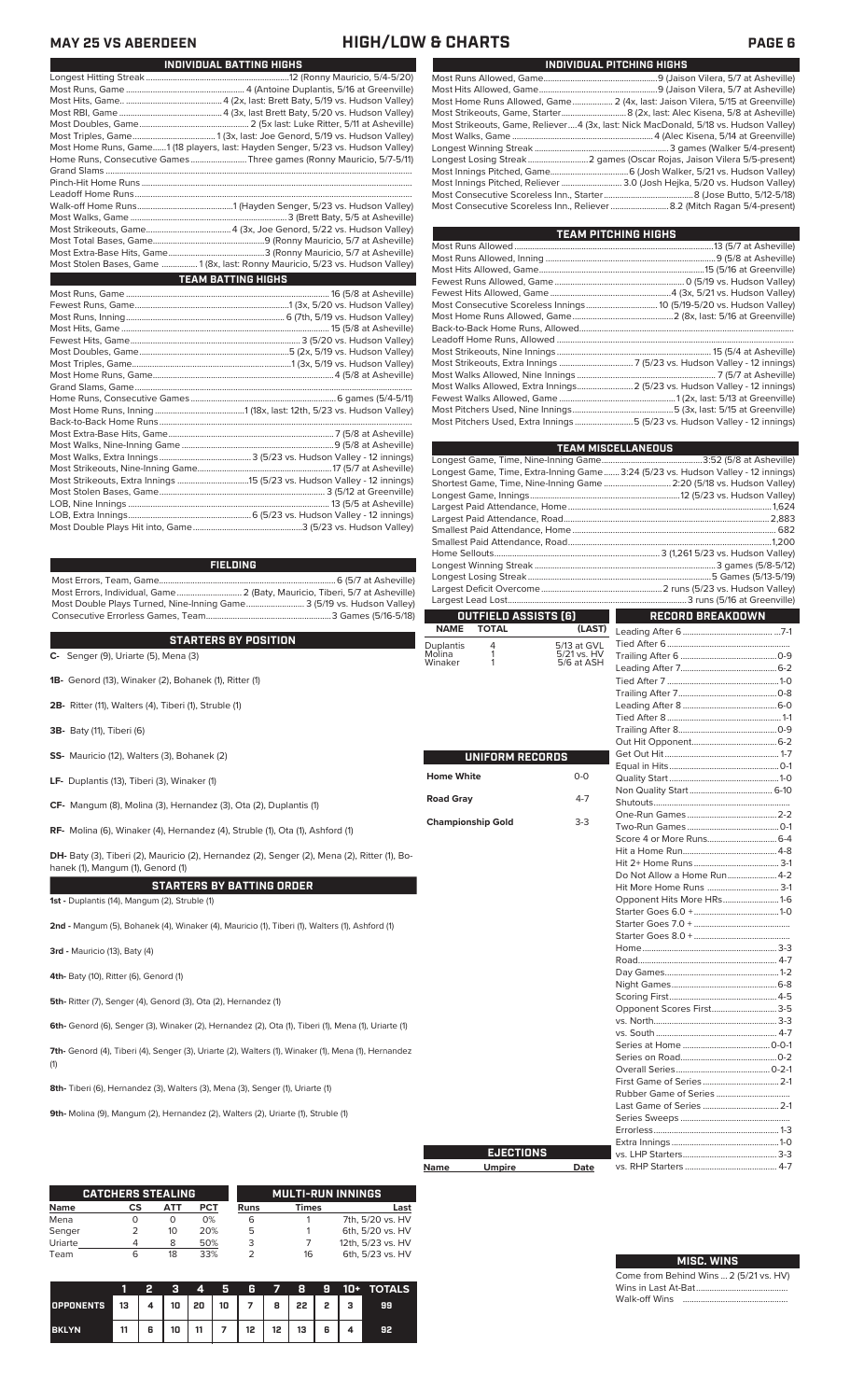**MAY 25 VS ABERDEEN HIGH/LOW & CHARTS PAGE 6**

| INDIVIDUAL PITCHING HIGHS                                                           |
|-------------------------------------------------------------------------------------|
|                                                                                     |
|                                                                                     |
| Most Home Runs Allowed, Game  2 (4x, last: Jaison Vilera, 5/15 at Greenville)       |
|                                                                                     |
| Most Strikeouts, Game, Reliever4 (3x, last: Nick MacDonald, 5/18 vs. Hudson Valley) |
|                                                                                     |
|                                                                                     |
|                                                                                     |
|                                                                                     |
| Most Innings Pitched, Reliever  3.0 (Josh Hejka, 5/20 vs. Hudson Valley)            |
|                                                                                     |
| Most Consecutive Scoreless Inn., Reliever 8.2 (Mitch Ragan 5/4-present)             |

| TEAM PITCHING HIGHS                                                       |  |
|---------------------------------------------------------------------------|--|
|                                                                           |  |
|                                                                           |  |
|                                                                           |  |
|                                                                           |  |
|                                                                           |  |
|                                                                           |  |
|                                                                           |  |
|                                                                           |  |
|                                                                           |  |
|                                                                           |  |
|                                                                           |  |
|                                                                           |  |
| Most Walks Allowed, Extra Innings 2 (5/23 vs. Hudson Valley - 12 innings) |  |
|                                                                           |  |
|                                                                           |  |
| Most Pitchers Used, Extra Innings 5 (5/23 vs. Hudson Valley - 12 innings) |  |
|                                                                           |  |

|                          |                                      |                           | <b>TEAM MISCELLANEOUS</b>                                                        |  |  |  |  |
|--------------------------|--------------------------------------|---------------------------|----------------------------------------------------------------------------------|--|--|--|--|
|                          |                                      |                           |                                                                                  |  |  |  |  |
|                          |                                      |                           | Longest Game, Time, Extra-Inning Game 3:24 (5/23 vs. Hudson Valley - 12 innings) |  |  |  |  |
|                          |                                      |                           | Shortest Game, Time, Nine-Inning Game  2:20 (5/18 vs. Hudson Valley)             |  |  |  |  |
|                          |                                      |                           |                                                                                  |  |  |  |  |
|                          |                                      |                           |                                                                                  |  |  |  |  |
|                          |                                      |                           |                                                                                  |  |  |  |  |
|                          |                                      |                           |                                                                                  |  |  |  |  |
|                          |                                      |                           |                                                                                  |  |  |  |  |
|                          |                                      |                           |                                                                                  |  |  |  |  |
|                          |                                      |                           |                                                                                  |  |  |  |  |
|                          |                                      |                           |                                                                                  |  |  |  |  |
|                          |                                      |                           |                                                                                  |  |  |  |  |
|                          |                                      |                           |                                                                                  |  |  |  |  |
| <b>NAME</b>              | OUTFIELD ASSISTS [6]<br><b>TOTAL</b> | (LAST)                    | RECORD BREAKDOWN                                                                 |  |  |  |  |
|                          |                                      |                           |                                                                                  |  |  |  |  |
| Duplantis<br>Molina      | 4<br>1                               | 5/13 at GVL               |                                                                                  |  |  |  |  |
| Winaker                  | 1                                    | 5/21 vs. HV<br>5/6 at ASH |                                                                                  |  |  |  |  |
|                          |                                      |                           |                                                                                  |  |  |  |  |
|                          |                                      |                           |                                                                                  |  |  |  |  |
|                          |                                      |                           |                                                                                  |  |  |  |  |
|                          |                                      |                           |                                                                                  |  |  |  |  |
|                          |                                      |                           |                                                                                  |  |  |  |  |
|                          |                                      |                           |                                                                                  |  |  |  |  |
|                          |                                      |                           |                                                                                  |  |  |  |  |
|                          | UNIFORM RECORDS                      |                           |                                                                                  |  |  |  |  |
| <b>Home White</b>        |                                      | $0 - 0$                   |                                                                                  |  |  |  |  |
|                          |                                      |                           |                                                                                  |  |  |  |  |
| <b>Road Gray</b>         |                                      | $4 - 7$                   |                                                                                  |  |  |  |  |
|                          |                                      |                           |                                                                                  |  |  |  |  |
| <b>Championship Gold</b> |                                      | $3-3$                     |                                                                                  |  |  |  |  |
|                          |                                      |                           |                                                                                  |  |  |  |  |
|                          |                                      |                           |                                                                                  |  |  |  |  |
|                          |                                      |                           |                                                                                  |  |  |  |  |
|                          |                                      |                           | Do Not Allow a Home Run 4-2                                                      |  |  |  |  |
|                          |                                      |                           | Hit More Home Runs  3-1                                                          |  |  |  |  |
|                          |                                      |                           | Opponent Hits More HRs1-6                                                        |  |  |  |  |
|                          |                                      |                           |                                                                                  |  |  |  |  |
|                          |                                      |                           |                                                                                  |  |  |  |  |
|                          |                                      |                           |                                                                                  |  |  |  |  |
|                          |                                      |                           |                                                                                  |  |  |  |  |
|                          |                                      |                           |                                                                                  |  |  |  |  |
|                          |                                      |                           |                                                                                  |  |  |  |  |
|                          |                                      |                           |                                                                                  |  |  |  |  |
|                          |                                      |                           |                                                                                  |  |  |  |  |
|                          |                                      |                           | Opponent Scores First3-5                                                         |  |  |  |  |
|                          |                                      |                           |                                                                                  |  |  |  |  |
|                          |                                      |                           |                                                                                  |  |  |  |  |
|                          |                                      |                           |                                                                                  |  |  |  |  |
|                          |                                      |                           |                                                                                  |  |  |  |  |
|                          |                                      |                           |                                                                                  |  |  |  |  |
|                          |                                      |                           |                                                                                  |  |  |  |  |
|                          |                                      |                           |                                                                                  |  |  |  |  |
|                          |                                      |                           | Last Game of Series  2-1                                                         |  |  |  |  |
|                          |                                      |                           |                                                                                  |  |  |  |  |
|                          |                                      |                           |                                                                                  |  |  |  |  |
|                          |                                      |                           |                                                                                  |  |  |  |  |
|                          | <b>EJECTIONS</b>                     |                           |                                                                                  |  |  |  |  |

**Name Umpire** 

|   |      | Last Game of Series  2-1 |  |
|---|------|--------------------------|--|
|   |      |                          |  |
|   |      |                          |  |
|   |      |                          |  |
| S |      |                          |  |
|   | Date |                          |  |
|   |      |                          |  |
|   |      |                          |  |
|   |      |                          |  |
|   |      |                          |  |

Most Runs, Game ..................................................... 4 (Antoine Duplantis, 5/16 at Greenville) Most Hits, Game.. ...........................................4 (2x, last: Brett Baty, 5/19 vs. Hudson Valley) Most RBI, Game ..............................................4 (3x, last Brett Baty, 5/20 vs. Hudson Valley) Most Doubles, Game................................................. 2 (5x last: Luke Ritter, 5/11 at Asheville) Most Triples, Game..................................... 1 (3x, last: Joe Genord, 5/19 vs. Hudson Valley) Most Home Runs, Game......1 (18 players, last: Hayden Senger, 5/23 vs. Hudson Valley) Home Runs, Consecutive Games .........................Three games (Ronny Mauricio, 5/7-5/11) Grand Slams ......................................................................................................................................... Pinch-Hit Home Runs... Leadoff Home Runs....<br>Walk-off Home Runs... Walk-off Home Runs...........................................1 (Hayden Senger, 5/23 vs. Hudson Valley) Most Walks, Game ......................................................................3 (Brett Baty, 5/5 at Asheville) Most Strikeouts, Game......................................4 (3x, Joe Genord, 5/22 vs. Hudson Valley) Most Total Bases, Game..................................................9 (Ronny Mauricio, 5/7 at Asheville) Most Extra-Base Hits, Game...........................................3 (Ronny Mauricio, 5/7 at Asheville) Most Stolen Bases, Game ................ 1 (8x, last: Ronny Mauricio, 5/23 vs. Hudson Valley) Most Runs, Game ........................................................................................... 16 (5/8 at Asheville) Fewest Runs, Game.....................................................................1 (3x, 5/20 vs. Hudson Valley) Most Runs, Inning....................................................................... 6 (7th, 5/19 vs. Hudson Valley) Most Hits, Game ............................................................................................. 15 (5/8 at Asheville) .3 (5/20 vs. Hudson Valley) Most Doubles, Game...................................................................5 (2x, 5/19 vs. Hudson Valley) Most Triples, Game.......................................................................1 (3x, 5/19 vs. Hudson Valley) Most Home Runs, Game..... Grand Slams, Game. Home Runs, Consecutive Games .................................................................6 games (5/4-5/11) ...........1 (18x, last: 12th, 5/23 vs. Hudson Valley) Back-to-Back Home Runs ................................................................................................................. Most Extra-Base Hits, Game. Most Walks, Nine-Inning Game ....................................................................9 (5/8 at Asheville) Most Walks, Extra Innings .........................................3 (5/23 vs. Hudson Valley - 12 innings) Most Strikeouts, Nine-Inning Game......<br>Most Strikeouts, Extra Innings ............... Most Strikeouts, Extra Innings ................................15 (5/23 vs. Hudson Valley - 12 innings) Most Stolen Bases, Game.......................................................................... 3 (5/12 at Greenville) LOB, Nine Innings ...... LOB, Extra Innings.......................................................6 (5/23 vs. Hudson Valley - 12 innings) **TEAM BATTING HIGHS**

Longest Hitting Streak ................................................................12 (Ronny Mauricio, 5/4-5/20)

**INDIVIDUAL BATTING HIGHS**

### **FIELDING**

**C-** Senger (9), Uriarte (5), Mena (3)<br> **C-** Senger (9), Uriarte (5), Mena (3)

Most Errors, Team, Game...............................................................................6 (5/7 at Asheville) Most Errors, Individual, Game............................. 2 (Baty, Mauricio, Tiberi, 5/7 at Asheville) Most Double Plays Turned, Nine-Inning Game.......................... 3 (5/19 vs. Hudson Valley) Consecutive Errorless Games, Team...

**STARTERS BY POSITION**

**2B-** Ritter (11), Walters (4), Tiberi (1), Struble (1) **3B-** Baty (11), Tiberi (6) **SS-** Mauricio (12), Walters (3), Bohanek (2) **LF-** Duplantis (13), Tiberi (3), Winaker (1) **CF-** Mangum (8), Molina (3), Hernandez (3), Ota (2), Duplantis (1) **RF-** Molina (6), Winaker (4), Hernandez (4), Struble (1), Ota (1), Ashford (1)

**DH-** Baty (3), Tiberi (2), Mauricio (2), Hernandez (2), Senger (2), Mena (2), Ritter (1), Bohanek (1), Mangum (1), Genord (1)

**STARTERS BY BATTING ORDER**

**1st -** Duplantis (14), Mangum (2), Struble (1)

Most Double Plays Hit into, Game........

**1B-** Genord (13), Winaker (2), Bohanek (1), Ritter (1)

**2nd -** Mangum (5), Bohanek (4), Winaker (4), Mauricio (1), Tiberi (1), Walters (1), Ashford (1)

**3rd -** Mauricio (13), Baty (4)

**4th-** Baty (10), Ritter (6), Genord (1)

**5th-** Ritter (7), Senger (4), Genord (3), Ota (2), Hernandez (1)

**6th-** Genord (6), Senger (3), Winaker (2), Hernandez (2), Ota (1), Tiberi (1), Mena (1), Uriarte (1)

**7th-** Genord (4), Tiberi (4), Senger (3), Uriarte (2), Walters (1), Winaker (1), Mena (1), Hernandez (1)

**8th-** Tiberi (6), Hernandez (3), Walters (3), Mena (3), Senger (1), Uriarte (1)

**9th-** Molina (9), Mangum (2), Hernandez (2), Walters (2), Uriarte (1), Struble (1)

|             | <b>CATCHERS STEALING</b> |     |            |      | <b>MULTI-RUN INNINGS</b> |                   |
|-------------|--------------------------|-----|------------|------|--------------------------|-------------------|
| <b>Name</b> | CS                       | АТТ | <b>PCT</b> | Runs | Times                    | Last              |
| Mena        |                          | O   | 0%         | 6    |                          | 7th, 5/20 vs. HV  |
| Senger      |                          | 10  | 20%        | 5    |                          | 6th, 5/20 vs. HV  |
| Uriarte     |                          | 8   | 50%        | 3    |                          | 12th, 5/23 vs. HV |
| Team        |                          | 18  | 33%        |      | 16                       | 6th, 5/23 vs. HV  |

|                  |                                                     |   |    | 4  | Б. | R               | 57 B      |                 | - 91 | 10+ TOTALS |
|------------------|-----------------------------------------------------|---|----|----|----|-----------------|-----------|-----------------|------|------------|
| <b>OPPONENTS</b> | 13    4    10    20    10    7    8    22    2    3 |   |    |    |    |                 |           |                 |      | 99         |
| <b>BKLYN</b>     | 11                                                  | 6 | 10 | 11 |    | 12 <sup>2</sup> | $12 \mid$ | 13 <sup>1</sup> | 6    |            |

### **MISC. WINS**

Come from Behind Wins ... 2 (5/21 vs. HV) Wins in Last At-Bat... Walk-off Wins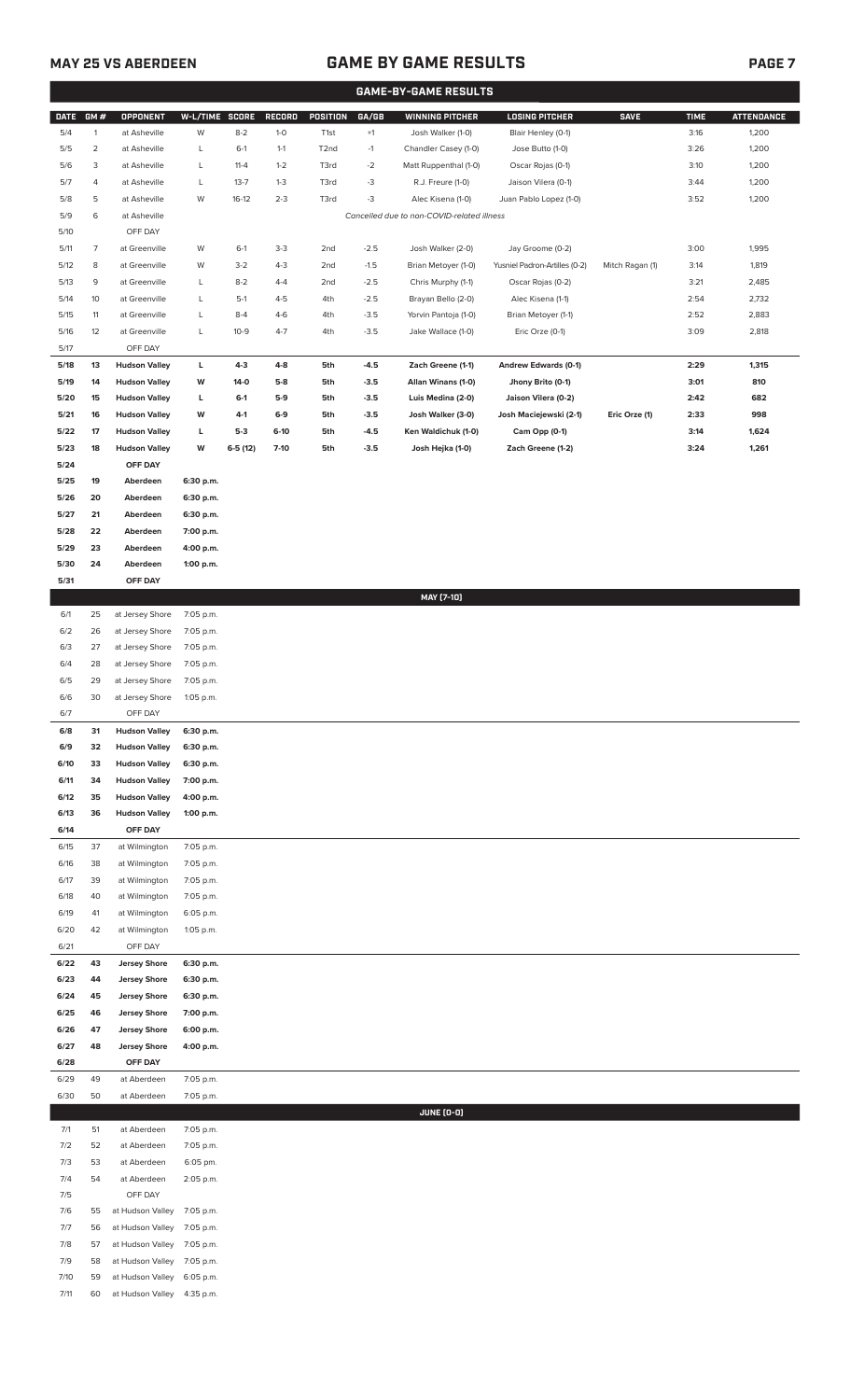7/10 59 at Hudson Valley 6:05 p.m. 7/11 60 at Hudson Valley 4:35 p.m.

## **MAY 25 VS ABERDEEN GAME BY GAME RESULTS PAGE 7**

|              | <b>GAME-BY-GAME RESULTS</b> |                                              |                        |                 |               |                   |                  |                                                                 |                                           |                 |              |                   |
|--------------|-----------------------------|----------------------------------------------|------------------------|-----------------|---------------|-------------------|------------------|-----------------------------------------------------------------|-------------------------------------------|-----------------|--------------|-------------------|
| <b>DATE</b>  | GM#                         | <b>OPPONENT</b>                              | W-L/TIME SCORE         |                 | <b>RECORD</b> | POSITION          | GA/GB            | <b>WINNING PITCHER</b>                                          | <b>LOSING PITCHER</b>                     | <b>SAVE</b>     | <b>TIME</b>  | <b>ATTENDANCE</b> |
| 5/4          | $\mathbf{1}$                | at Asheville                                 | W                      | $8 - 2$         | $1-0$         | T <sub>1st</sub>  | $+1$             | Josh Walker (1-0)                                               | Blair Henley (0-1)                        |                 | 3:16         | 1,200             |
| 5/5          | $\overline{2}$              | at Asheville                                 | L                      | $6-1$           | $1 - 1$       | T <sub>2</sub> nd | $-1$             | Chandler Casey (1-0)                                            | Jose Butto (1-0)                          |                 | 3:26         | 1,200             |
| 5/6          | 3                           | at Asheville                                 | L                      | $11 - 4$        | $1 - 2$       | T3rd              | $-2$             | Matt Ruppenthal (1-0)                                           | Oscar Rojas (0-1)                         |                 | 3:10         | 1,200             |
| 5/7          | 4                           | at Asheville                                 | L                      | $13 - 7$        | $1 - 3$       | T3rd              | $-3$             | R.J. Freure (1-0)                                               | Jaison Vilera (0-1)                       |                 | 3:44         | 1,200             |
| 5/8<br>5/9   | 5<br>6                      | at Asheville<br>at Asheville                 | W                      | $16-12$         | $2 - 3$       | T3rd              | $-3$             | Alec Kisena (1-0)<br>Cancelled due to non-COVID-related illness | Juan Pablo Lopez (1-0)                    |                 | 3:52         | 1,200             |
| $5/10$       |                             | OFF DAY                                      |                        |                 |               |                   |                  |                                                                 |                                           |                 |              |                   |
| 5/11         | $\overline{7}$              | at Greenville                                | W                      | $6-1$           | $3-3$         | 2nd               | $-2.5$           | Josh Walker (2-0)                                               | Jay Groome (0-2)                          |                 | 3:00         | 1,995             |
| 5/12         | 8                           | at Greenville                                | W                      | $3 - 2$         | $4 - 3$       | 2nd               | $-1.5$           | Brian Metoyer (1-0)                                             | Yusniel Padron-Artilles (0-2)             | Mitch Ragan (1) | 3:14         | 1,819             |
| 5/13         | 9                           | at Greenville                                | L                      | $8 - 2$         | $4 - 4$       | 2nd               | $-2.5$           | Chris Murphy (1-1)                                              | Oscar Rojas (0-2)                         |                 | 3:21         | 2,485             |
| 5/14         | 10                          | at Greenville                                | L                      | $5-1$           | $4 - 5$       | 4th               | $-2.5$           | Brayan Bello (2-0)                                              | Alec Kisena (1-1)                         |                 | 2:54         | 2,732             |
| 5/15         | 11                          | at Greenville                                | L                      | $8 - 4$         | $4 - 6$       | 4th               | $-3.5$           | Yorvin Pantoja (1-0)                                            | Brian Metoyer (1-1)                       |                 | 2:52         | 2,883             |
| 5/16         | 12                          | at Greenville                                | L                      | $10-9$          | $4 - 7$       | 4th               | $-3.5$           | Jake Wallace (1-0)                                              | Eric Orze (0-1)                           |                 | 3:09         | 2,818             |
| 5/17         |                             | OFF DAY                                      |                        |                 |               |                   |                  |                                                                 |                                           |                 |              |                   |
| 5/18<br>5/19 | 13<br>14                    | <b>Hudson Valley</b><br><b>Hudson Valley</b> | L<br>W                 | $4-3$<br>$14-0$ | 4-8<br>$5-8$  | 5th<br>5th        | $-4.5$<br>$-3.5$ | Zach Greene (1-1)<br>Allan Winans (1-0)                         | Andrew Edwards (0-1)<br>Jhony Brito (0-1) |                 | 2:29<br>3:01 | 1,315<br>810      |
| 5/20         | 15                          | <b>Hudson Valley</b>                         | L                      | $6-1$           | $5-9$         | 5th               | $-3.5$           | Luis Medina (2-0)                                               | Jaison Vilera (0-2)                       |                 | 2:42         | 682               |
| 5/21         | 16                          | <b>Hudson Valley</b>                         | W                      | $4-1$           | $6-9$         | 5th               | $-3.5$           | Josh Walker (3-0)                                               | Josh Maciejewski (2-1)                    | Eric Orze (1)   | 2:33         | 998               |
| 5/22         | 17                          | <b>Hudson Valley</b>                         | г                      | $5-3$           | $6-10$        | 5th               | $-4.5$           | Ken Waldichuk (1-0)                                             | Cam Opp (0-1)                             |                 | 3:14         | 1,624             |
| 5/23         | 18                          | <b>Hudson Valley</b>                         | W                      | $6-5(12)$       | $7-10$        | 5th               | $-3.5$           | Josh Hejka (1-0)                                                | Zach Greene (1-2)                         |                 | 3:24         | 1,261             |
| 5/24         |                             | OFF DAY                                      |                        |                 |               |                   |                  |                                                                 |                                           |                 |              |                   |
| 5/25         | 19                          | Aberdeen                                     | 6:30 p.m.              |                 |               |                   |                  |                                                                 |                                           |                 |              |                   |
| 5/26         | 20                          | Aberdeen                                     | 6:30 p.m.              |                 |               |                   |                  |                                                                 |                                           |                 |              |                   |
| 5/27<br>5/28 | 21<br>22                    | Aberdeen<br>Aberdeen                         | 6:30 p.m.<br>7:00 p.m. |                 |               |                   |                  |                                                                 |                                           |                 |              |                   |
| 5/29         | 23                          | Aberdeen                                     | 4:00 p.m.              |                 |               |                   |                  |                                                                 |                                           |                 |              |                   |
| 5/30         | 24                          | Aberdeen                                     | 1:00 p.m.              |                 |               |                   |                  |                                                                 |                                           |                 |              |                   |
| 5/31         |                             | OFF DAY                                      |                        |                 |               |                   |                  |                                                                 |                                           |                 |              |                   |
|              |                             |                                              |                        |                 |               |                   |                  | MAY [7-10]                                                      |                                           |                 |              |                   |
| 6/1          | 25                          | at Jersey Shore                              | 7:05 p.m.              |                 |               |                   |                  |                                                                 |                                           |                 |              |                   |
| 6/2          | 26                          | at Jersey Shore                              | 7:05 p.m.              |                 |               |                   |                  |                                                                 |                                           |                 |              |                   |
| 6/3<br>6/4   | 27<br>28                    | at Jersey Shore<br>at Jersey Shore           | 7:05 p.m.<br>7:05 p.m. |                 |               |                   |                  |                                                                 |                                           |                 |              |                   |
| 6/5          | 29                          | at Jersey Shore                              | 7:05 p.m.              |                 |               |                   |                  |                                                                 |                                           |                 |              |                   |
| 6/6          | 30                          | at Jersey Shore                              | 1:05 p.m.              |                 |               |                   |                  |                                                                 |                                           |                 |              |                   |
| 6/7          |                             | OFF DAY                                      |                        |                 |               |                   |                  |                                                                 |                                           |                 |              |                   |
| 6/8          | 31                          | <b>Hudson Valley</b>                         | 6:30 p.m.              |                 |               |                   |                  |                                                                 |                                           |                 |              |                   |
| 6/9          | 32                          | <b>Hudson Valley</b>                         | 6:30 p.m.              |                 |               |                   |                  |                                                                 |                                           |                 |              |                   |
| 6/10         | 33                          | <b>Hudson Valley</b>                         | 6:30 p.m.              |                 |               |                   |                  |                                                                 |                                           |                 |              |                   |
| 6/11<br>6/12 | 34<br>35                    | <b>Hudson Valley</b><br><b>Hudson Valley</b> | 7:00 p.m.<br>4:00 p.m. |                 |               |                   |                  |                                                                 |                                           |                 |              |                   |
| 6/13         | 36                          | <b>Hudson Valley</b>                         | 1:00 p.m.              |                 |               |                   |                  |                                                                 |                                           |                 |              |                   |
| 6/14         |                             | OFF DAY                                      |                        |                 |               |                   |                  |                                                                 |                                           |                 |              |                   |
| 6/15         | 37                          | at Wilmington                                | 7:05 p.m.              |                 |               |                   |                  |                                                                 |                                           |                 |              |                   |
| 6/16         | 38                          | at Wilmington                                | 7:05 p.m.              |                 |               |                   |                  |                                                                 |                                           |                 |              |                   |
| 6/17         | 39                          | at Wilmington                                | 7:05 p.m.              |                 |               |                   |                  |                                                                 |                                           |                 |              |                   |
| 6/18         | 40                          | at Wilmington                                | 7:05 p.m.              |                 |               |                   |                  |                                                                 |                                           |                 |              |                   |
| 6/19<br>6/20 | 41<br>42                    | at Wilmington<br>at Wilmington               | 6:05 p.m.<br>1:05 p.m. |                 |               |                   |                  |                                                                 |                                           |                 |              |                   |
| 6/21         |                             | OFF DAY                                      |                        |                 |               |                   |                  |                                                                 |                                           |                 |              |                   |
| 6/22         | 43                          | <b>Jersey Shore</b>                          | 6:30 p.m.              |                 |               |                   |                  |                                                                 |                                           |                 |              |                   |
| 6/23         | 44                          | <b>Jersey Shore</b>                          | 6:30 p.m.              |                 |               |                   |                  |                                                                 |                                           |                 |              |                   |
| 6/24         | 45                          | <b>Jersey Shore</b>                          | 6:30 p.m.              |                 |               |                   |                  |                                                                 |                                           |                 |              |                   |
| 6/25         | 46                          | <b>Jersey Shore</b>                          | 7:00 p.m.              |                 |               |                   |                  |                                                                 |                                           |                 |              |                   |
| 6/26         | 47                          | <b>Jersey Shore</b>                          | 6:00 p.m.              |                 |               |                   |                  |                                                                 |                                           |                 |              |                   |
| 6/27         | 48                          | <b>Jersey Shore</b>                          | 4:00 p.m.              |                 |               |                   |                  |                                                                 |                                           |                 |              |                   |
| 6/28<br>6/29 | 49                          | OFF DAY<br>at Aberdeen                       | 7:05 p.m.              |                 |               |                   |                  |                                                                 |                                           |                 |              |                   |
| 6/30         | 50                          | at Aberdeen                                  | 7:05 p.m.              |                 |               |                   |                  |                                                                 |                                           |                 |              |                   |
|              |                             |                                              |                        |                 |               |                   |                  | <b>JUNE (0-0)</b>                                               |                                           |                 |              |                   |
| 7/1          | 51                          | at Aberdeen                                  | 7:05 p.m.              |                 |               |                   |                  |                                                                 |                                           |                 |              |                   |
| 7/2          | 52                          | at Aberdeen                                  | 7:05 p.m.              |                 |               |                   |                  |                                                                 |                                           |                 |              |                   |
| 7/3          | 53                          | at Aberdeen                                  | 6:05 pm.               |                 |               |                   |                  |                                                                 |                                           |                 |              |                   |
| 7/4          | 54                          | at Aberdeen                                  | 2:05 p.m.              |                 |               |                   |                  |                                                                 |                                           |                 |              |                   |
| 7/5<br>7/6   | 55                          | OFF DAY<br>at Hudson Valley                  | 7:05 p.m.              |                 |               |                   |                  |                                                                 |                                           |                 |              |                   |
| 7/7          | 56                          | at Hudson Valley                             | 7:05 p.m.              |                 |               |                   |                  |                                                                 |                                           |                 |              |                   |
| 7/8          | 57                          | at Hudson Valley                             | 7:05 p.m.              |                 |               |                   |                  |                                                                 |                                           |                 |              |                   |
| 7/9          | 58                          | at Hudson Valley 7:05 p.m.                   |                        |                 |               |                   |                  |                                                                 |                                           |                 |              |                   |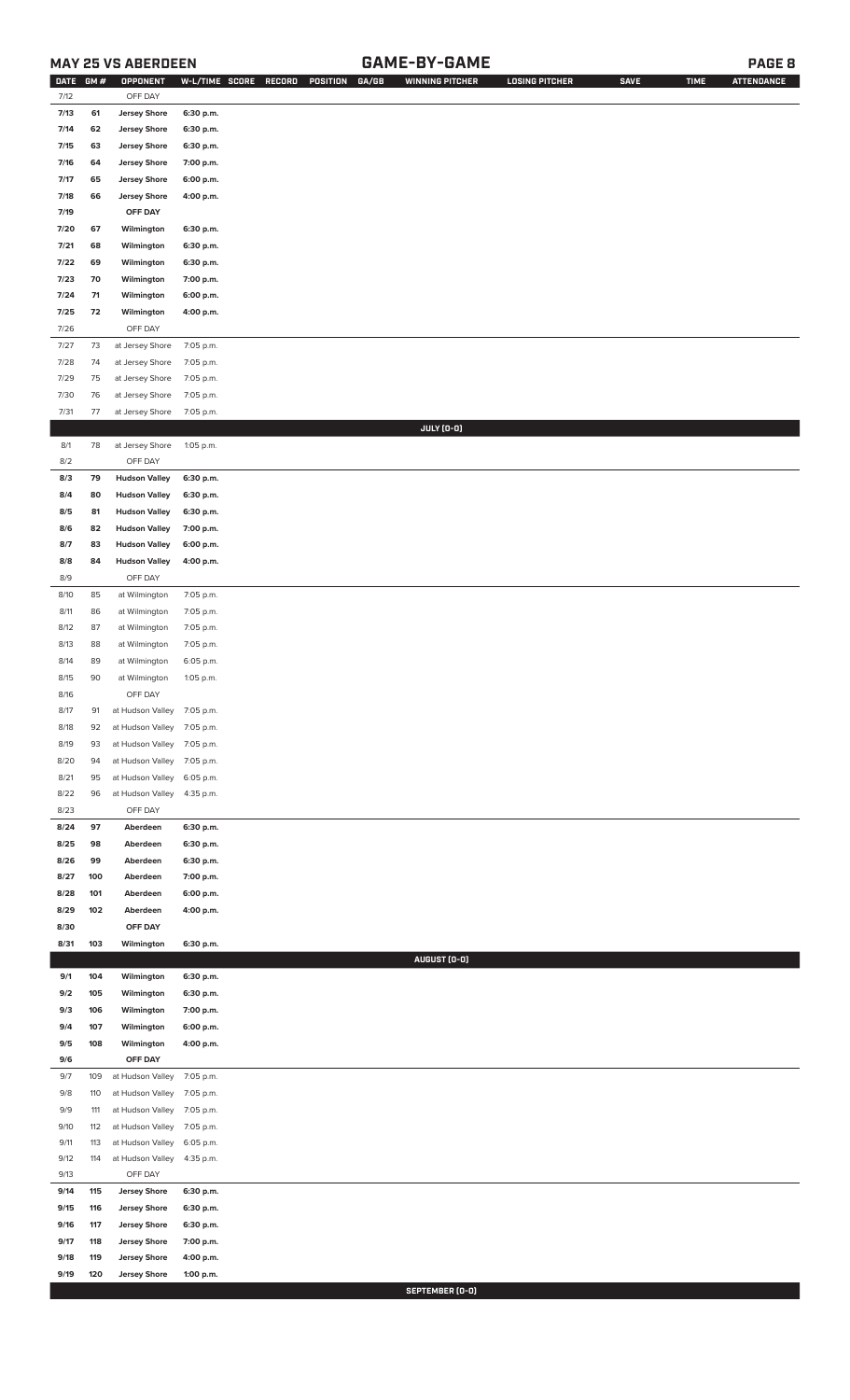## **MAY 25 VS ABERDEEN GAME-BY-GAME PAGE 8**

| <b>DATE</b> | GM# | <b>OPPONENT</b>            | W-L/TIME SCORE | GA/GB<br>RECORD<br>POSITION | <b>WINNING PITCHER</b> | <b>LOSING PITCHER</b> | <b>SAVE</b> | <b>TIME</b> | <b>ATTENDANCE</b> |
|-------------|-----|----------------------------|----------------|-----------------------------|------------------------|-----------------------|-------------|-------------|-------------------|
| 7/12        |     | OFF DAY                    |                |                             |                        |                       |             |             |                   |
| 7/13        | 61  | <b>Jersey Shore</b>        | 6:30 p.m.      |                             |                        |                       |             |             |                   |
| 7/14        | 62  | <b>Jersey Shore</b>        | 6:30 p.m.      |                             |                        |                       |             |             |                   |
| 7/15        | 63  | <b>Jersey Shore</b>        | 6:30 p.m.      |                             |                        |                       |             |             |                   |
| 7/16        | 64  | <b>Jersey Shore</b>        | 7:00 p.m.      |                             |                        |                       |             |             |                   |
|             |     |                            |                |                             |                        |                       |             |             |                   |
| 7/17        | 65  | <b>Jersey Shore</b>        | 6:00 p.m.      |                             |                        |                       |             |             |                   |
| 7/18        | 66  | <b>Jersey Shore</b>        | 4:00 p.m.      |                             |                        |                       |             |             |                   |
| 7/19        |     | OFF DAY                    |                |                             |                        |                       |             |             |                   |
| 7/20        | 67  | Wilmington                 | 6:30 p.m.      |                             |                        |                       |             |             |                   |
| 7/21        | 68  | Wilmington                 | 6:30 p.m.      |                             |                        |                       |             |             |                   |
| 7/22        | 69  | Wilmington                 | 6:30 p.m.      |                             |                        |                       |             |             |                   |
| 7/23        | 70  | Wilmington                 | 7:00 p.m.      |                             |                        |                       |             |             |                   |
|             |     |                            |                |                             |                        |                       |             |             |                   |
| 7/24        | 71  | Wilmington                 | 6:00 p.m.      |                             |                        |                       |             |             |                   |
| 7/25        | 72  | Wilmington                 | 4:00 p.m.      |                             |                        |                       |             |             |                   |
| 7/26        |     | OFF DAY                    |                |                             |                        |                       |             |             |                   |
| 7/27        | 73  | at Jersey Shore            | 7:05 p.m.      |                             |                        |                       |             |             |                   |
| 7/28        | 74  | at Jersey Shore            | 7:05 p.m.      |                             |                        |                       |             |             |                   |
| 7/29        | 75  | at Jersey Shore            | 7:05 p.m.      |                             |                        |                       |             |             |                   |
| 7/30        | 76  | at Jersey Shore            |                |                             |                        |                       |             |             |                   |
|             |     |                            | 7:05 p.m.      |                             |                        |                       |             |             |                   |
| 7/31        | 77  | at Jersey Shore            | 7:05 p.m.      |                             |                        |                       |             |             |                   |
|             |     |                            |                |                             | JULY (0-0)             |                       |             |             |                   |
| 8/1         | 78  | at Jersey Shore            | 1:05 p.m.      |                             |                        |                       |             |             |                   |
| 8/2         |     | OFF DAY                    |                |                             |                        |                       |             |             |                   |
| 8/3         | 79  | <b>Hudson Valley</b>       | 6:30 p.m.      |                             |                        |                       |             |             |                   |
| 8/4         | 80  | <b>Hudson Valley</b>       | 6:30 p.m.      |                             |                        |                       |             |             |                   |
| 8/5         | 81  | <b>Hudson Valley</b>       | 6:30 p.m.      |                             |                        |                       |             |             |                   |
|             |     |                            |                |                             |                        |                       |             |             |                   |
| 8/6         | 82  | <b>Hudson Valley</b>       | 7:00 p.m.      |                             |                        |                       |             |             |                   |
| 8/7         | 83  | <b>Hudson Valley</b>       | 6:00 p.m.      |                             |                        |                       |             |             |                   |
| 8/8         | 84  | <b>Hudson Valley</b>       | 4:00 p.m.      |                             |                        |                       |             |             |                   |
| 8/9         |     | OFF DAY                    |                |                             |                        |                       |             |             |                   |
| 8/10        | 85  | at Wilmington              | 7:05 p.m.      |                             |                        |                       |             |             |                   |
| 8/11        | 86  | at Wilmington              | 7:05 p.m.      |                             |                        |                       |             |             |                   |
| 8/12        | 87  | at Wilmington              |                |                             |                        |                       |             |             |                   |
|             |     |                            | 7:05 p.m.      |                             |                        |                       |             |             |                   |
| 8/13        | 88  | at Wilmington              | 7:05 p.m.      |                             |                        |                       |             |             |                   |
| 8/14        | 89  | at Wilmington              | 6:05 p.m.      |                             |                        |                       |             |             |                   |
| 8/15        | 90  | at Wilmington              | 1:05 p.m.      |                             |                        |                       |             |             |                   |
| 8/16        |     | OFF DAY                    |                |                             |                        |                       |             |             |                   |
| 8/17        | 91  | at Hudson Valley 7:05 p.m. |                |                             |                        |                       |             |             |                   |
| 8/18        | 92  | at Hudson Valley           | 7:05 p.m.      |                             |                        |                       |             |             |                   |
|             |     |                            |                |                             |                        |                       |             |             |                   |
| 8/19        | 93  | at Hudson Valley           | 7:05 p.m.      |                             |                        |                       |             |             |                   |
| 8/20        | 94  | at Hudson Valley           | 7:05 p.m.      |                             |                        |                       |             |             |                   |
| 8/21        | 95  | at Hudson Valley           | 6:05 p.m.      |                             |                        |                       |             |             |                   |
| 8/22        | 96  | at Hudson Valley           | 4:35 p.m.      |                             |                        |                       |             |             |                   |
| 8/23        |     | OFF DAY                    |                |                             |                        |                       |             |             |                   |
| 8/24        | 97  | Aberdeen                   | 6:30 p.m.      |                             |                        |                       |             |             |                   |
| 8/25        | 98  | Aberdeen                   | 6:30 p.m.      |                             |                        |                       |             |             |                   |
|             |     |                            |                |                             |                        |                       |             |             |                   |
| 8/26        | 99  | Aberdeen                   | 6:30 p.m.      |                             |                        |                       |             |             |                   |
| 8/27        | 100 | Aberdeen                   | 7:00 p.m.      |                             |                        |                       |             |             |                   |
| 8/28        | 101 | Aberdeen                   | 6:00 p.m.      |                             |                        |                       |             |             |                   |
| 8/29        | 102 | Aberdeen                   | 4:00 p.m.      |                             |                        |                       |             |             |                   |
| 8/30        |     | OFF DAY                    |                |                             |                        |                       |             |             |                   |
| 8/31        | 103 | Wilmington                 | 6:30 p.m.      |                             |                        |                       |             |             |                   |
|             |     |                            |                |                             | AUGUST (0-0)           |                       |             |             |                   |
| 9/1         | 104 | Wilmington                 | 6:30 p.m.      |                             |                        |                       |             |             |                   |
|             |     |                            |                |                             |                        |                       |             |             |                   |
| 9/2         | 105 | Wilmington                 | 6:30 p.m.      |                             |                        |                       |             |             |                   |
| 9/3         | 106 | Wilmington                 | 7:00 p.m.      |                             |                        |                       |             |             |                   |
| 9/4         | 107 | Wilmington                 | 6:00 p.m.      |                             |                        |                       |             |             |                   |
| 9/5         | 108 | Wilmington                 | 4:00 p.m.      |                             |                        |                       |             |             |                   |
| 9/6         |     | OFF DAY                    |                |                             |                        |                       |             |             |                   |
| 9/7         | 109 | at Hudson Valley           | 7:05 p.m.      |                             |                        |                       |             |             |                   |
| 9/8         | 110 | at Hudson Valley           | 7:05 p.m.      |                             |                        |                       |             |             |                   |
|             |     |                            |                |                             |                        |                       |             |             |                   |
| 9/9         | 111 | at Hudson Valley           | 7:05 p.m.      |                             |                        |                       |             |             |                   |
| 9/10        | 112 | at Hudson Valley           | 7:05 p.m.      |                             |                        |                       |             |             |                   |
| 9/11        | 113 | at Hudson Valley           | 6:05 p.m.      |                             |                        |                       |             |             |                   |
| 9/12        | 114 | at Hudson Valley           | 4:35 p.m.      |                             |                        |                       |             |             |                   |
| 9/13        |     | OFF DAY                    |                |                             |                        |                       |             |             |                   |
| 9/14        | 115 | <b>Jersey Shore</b>        | 6:30 p.m.      |                             |                        |                       |             |             |                   |
| 9/15        | 116 | <b>Jersey Shore</b>        | 6:30 p.m.      |                             |                        |                       |             |             |                   |
|             |     |                            |                |                             |                        |                       |             |             |                   |
| 9/16        | 117 | <b>Jersey Shore</b>        | 6:30 p.m.      |                             |                        |                       |             |             |                   |
| 9/17        | 118 | <b>Jersey Shore</b>        | 7:00 p.m.      |                             |                        |                       |             |             |                   |
| 9/18        | 119 | <b>Jersey Shore</b>        | 4:00 p.m.      |                             |                        |                       |             |             |                   |
| 9/19        | 120 | <b>Jersey Shore</b>        | 1:00 p.m.      |                             |                        |                       |             |             |                   |

**SEPTEMBER (0-0)**